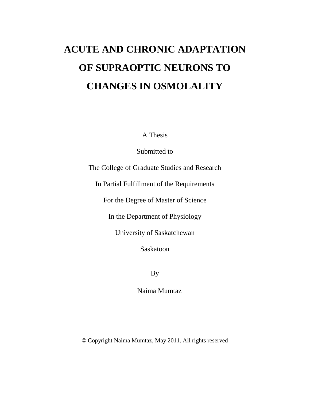# **ACUTE AND CHRONIC ADAPTATION OF SUPRAOPTIC NEURONS TO CHANGES IN OSMOLALITY**

A Thesis

Submitted to

The College of Graduate Studies and Research

In Partial Fulfillment of the Requirements

For the Degree of Master of Science

In the Department of Physiology

University of Saskatchewan

Saskatoon

By

Naima Mumtaz

© Copyright Naima Mumtaz, May 2011. All rights reserved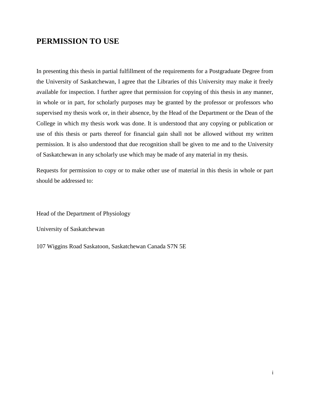# **PERMISSION TO USE**

In presenting this thesis in partial fulfillment of the requirements for a Postgraduate Degree from the University of Saskatchewan, I agree that the Libraries of this University may make it freely available for inspection. I further agree that permission for copying of this thesis in any manner, in whole or in part, for scholarly purposes may be granted by the professor or professors who supervised my thesis work or, in their absence, by the Head of the Department or the Dean of the College in which my thesis work was done. It is understood that any copying or publication or use of this thesis or parts thereof for financial gain shall not be allowed without my written permission. It is also understood that due recognition shall be given to me and to the University of Saskatchewan in any scholarly use which may be made of any material in my thesis.

Requests for permission to copy or to make other use of material in this thesis in whole or part should be addressed to:

Head of the Department of Physiology

University of Saskatchewan

107 Wiggins Road Saskatoon, Saskatchewan Canada S7N 5E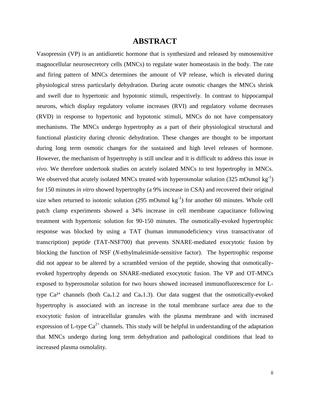### **ABSTRACT**

Vasopressin (VP) is an antidiuretic hormone that is synthesized and released by osmosensitive magnocellular neurosecretory cells (MNCs) to regulate water homeostasis in the body. The rate and firing pattern of MNCs determines the amount of VP release, which is elevated during physiological stress particularly dehydration. During acute osmotic changes the MNCs shrink and swell due to hypertonic and hypotonic stimuli, respectively. In contrast to hippocampal neurons, which display regulatory volume increases (RVI) and regulatory volume decreases (RVD) in response to hypertonic and hypotonic stimuli, MNCs do not have compensatory mechanisms. The MNCs undergo hypertrophy as a part of their physiological structural and functional plasticity during chronic dehydration. These changes are thought to be important during long term osmotic changes for the sustained and high level releases of hormone. However, the mechanism of hypertrophy is still unclear and it is difficult to address this issue *in vivo*. We therefore undertook studies on acutely isolated MNCs to test hypertrophy in MNCs. We observed that acutely isolated MNCs treated with hyperosmolar solution  $(325 \text{ mOsmol kg}^{-1})$ for 150 minutes *in vitro* showed hypertrophy (a 9% increase in CSA) and recovered their original size when returned to isotonic solution (295 mOsmol  $kg^{-1}$ ) for another 60 minutes. Whole cell patch clamp experiments showed a 34% increase in cell membrane capacitance following treatment with hypertonic solution for 90-150 minutes. The osmotically-evoked hypertrophic response was blocked by using a TAT (human immunodeficiency virus transactivator of transcription) peptide (TAT-NSF700) that prevents SNARE-mediated exocytotic fusion by blocking the function of NSF (*N-*ethylmaleimide-sensitive factor). The hypertrophic response did not appear to be altered by a scrambled version of the peptide, showing that osmoticallyevoked hypertrophy depends on SNARE-mediated exocytotic fusion. The VP and OT-MNCs exposed to hyperosmolar solution for two hours showed increased immunofluorescence for Ltype  $Ca^{2+}$  channels (both  $Ca_v1.2$  and  $Ca_v1.3$ ). Our data suggest that the osmotically-evoked hypertrophy is associated with an increase in the total membrane surface area due to the exocytotic fusion of intracellular granules with the plasma membrane and with increased expression of L-type  $Ca^{2+}$  channels. This study will be helpful in understanding of the adaptation that MNCs undergo during long term dehydration and pathological conditions that lead to increased plasma osmolality.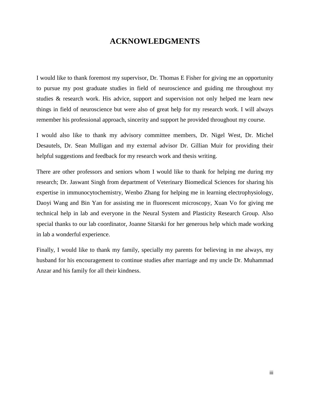## **ACKNOWLEDGMENTS**

I would like to thank foremost my supervisor, Dr. Thomas E Fisher for giving me an opportunity to pursue my post graduate studies in field of neuroscience and guiding me throughout my studies & research work. His advice, support and supervision not only helped me learn new things in field of neuroscience but were also of great help for my research work. I will always remember his professional approach, sincerity and support he provided throughout my course.

I would also like to thank my advisory committee members, Dr. Nigel West, Dr. Michel Desautels, Dr. Sean Mulligan and my external advisor Dr. Gillian Muir for providing their helpful suggestions and feedback for my research work and thesis writing.

There are other professors and seniors whom I would like to thank for helping me during my research; Dr. Jaswant Singh from department of Veterinary Biomedical Sciences for sharing his expertise in immunocytochemistry, Wenbo Zhang for helping me in learning electrophysiology, Daoyi Wang and Bin Yan for assisting me in fluorescent microscopy, Xuan Vo for giving me technical help in lab and everyone in the Neural System and Plasticity Research Group. Also special thanks to our lab coordinator, Joanne Sitarski for her generous help which made working in lab a wonderful experience.

Finally, I would like to thank my family, specially my parents for believing in me always, my husband for his encouragement to continue studies after marriage and my uncle Dr. Muhammad Anzar and his family for all their kindness.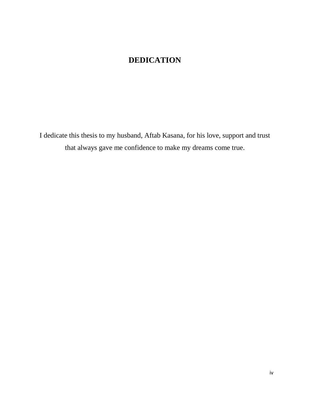# **DEDICATION**

I dedicate this thesis to my husband, Aftab Kasana, for his love, support and trust that always gave me confidence to make my dreams come true.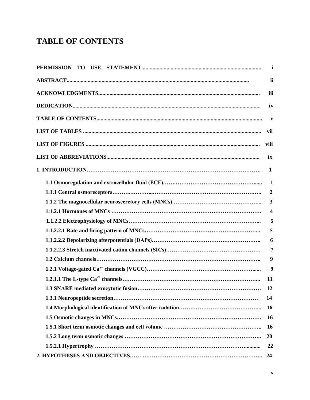# **TABLE OF CONTENTS**

| $\mathbf{i}$            |
|-------------------------|
| ii                      |
| iii                     |
| iv                      |
| $\mathbf{v}$            |
| vii                     |
| viii                    |
| ix                      |
| 1                       |
| $\mathbf{1}$            |
| $\overline{2}$          |
| $\overline{\mathbf{3}}$ |
| $\boldsymbol{4}$        |
| 5                       |
| 5                       |
| 6                       |
| $\overline{7}$          |
| 9                       |
| 9                       |
| 11                      |
| 12                      |
| 14                      |
| 16                      |
| <b>16</b>               |
| 16                      |
| 20                      |
| 22                      |
| 24                      |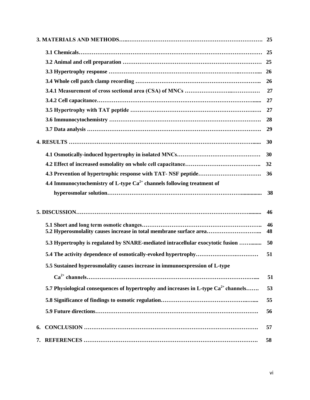|    |                                                                                          | 25       |
|----|------------------------------------------------------------------------------------------|----------|
|    |                                                                                          | 25       |
|    |                                                                                          | 26       |
|    |                                                                                          | 26       |
|    |                                                                                          | 27       |
|    |                                                                                          | 27       |
|    |                                                                                          | 27       |
|    |                                                                                          | 28       |
|    |                                                                                          | 29       |
|    |                                                                                          | 30       |
|    |                                                                                          | 30       |
|    |                                                                                          | 32       |
|    |                                                                                          | 36       |
|    | 4.4 Immunocytochemistry of L-type $Ca^{2+}$ channels following treatment of              |          |
|    |                                                                                          | 38       |
|    |                                                                                          | 46       |
|    |                                                                                          | 46<br>48 |
|    | 5.3 Hypertrophy is regulated by SNARE-mediated intracellular exocytotic fusion           | 50       |
|    |                                                                                          | 51       |
|    | 5.5 Sustained hyperosmolality causes increase in immunoexpression of L-type              |          |
|    |                                                                                          | 51       |
|    | 5.7 Physiological consequences of hypertrophy and increases in L-type $Ca^{2+}$ channels | 53       |
|    |                                                                                          | 55       |
|    |                                                                                          | 56       |
| 6. |                                                                                          | 57       |
|    |                                                                                          | 58       |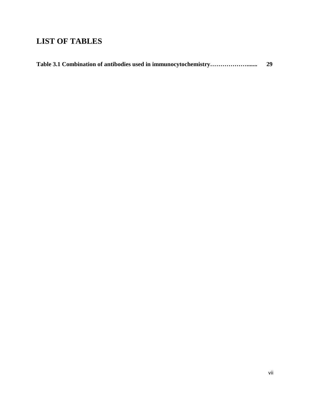# **LIST OF TABLES**

|  | 29 |
|--|----|
|--|----|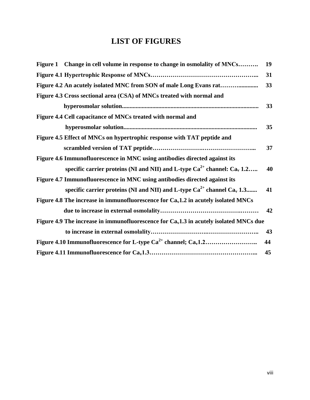# **LIST OF FIGURES**

| Figure 1 Change in cell volume in response to change in osmolality of MNCs              | 19 |
|-----------------------------------------------------------------------------------------|----|
|                                                                                         | 31 |
|                                                                                         | 33 |
| Figure 4.3 Cross sectional area (CSA) of MNCs treated with normal and                   |    |
|                                                                                         | 33 |
| Figure 4.4 Cell capacitance of MNCs treated with normal and                             |    |
|                                                                                         | 35 |
| Figure 4.5 Effect of MNCs on hypertrophic response with TAT peptide and                 |    |
|                                                                                         | 37 |
| Figure 4.6 Immunofluorescence in MNC using antibodies directed against its              |    |
| specific carrier proteins (NI and NII) and L-type $Ca^{2+}$ channel: $Ca_{v}$ 1.2       | 40 |
| Figure 4.7 Immunofluorescence in MNC using antibodies directed against its              |    |
| specific carrier proteins (NI and NII) and L-type $Ca^{2+}$ channel $Ca_{v}$ 1.3        | 41 |
| Figure 4.8 The increase in immunofluorescence for $Cav1.2$ in acutely isolated MNCs     |    |
|                                                                                         | 42 |
| Figure 4.9 The increase in immunofluorescence for $Cav1.3$ in acutely isolated MNCs due |    |
|                                                                                         | 43 |
|                                                                                         | 44 |
|                                                                                         | 45 |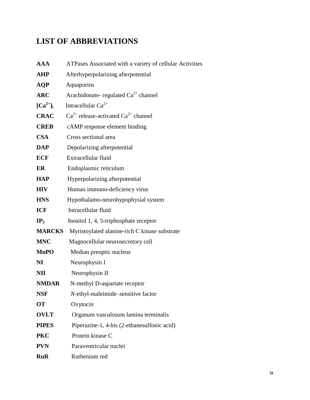# **LIST OF ABBREVIATIONS**

| <b>AAA</b>           | ATPases Associated with a variety of cellular Activities |
|----------------------|----------------------------------------------------------|
| <b>AHP</b>           | Afterhyperpolarizing afterpotential                      |
| <b>AQP</b>           | Aquaporins                                               |
| <b>ARC</b>           | Arachidonate-regulated $Ca^{2+}$ channel                 |
| $[\text{Ca}^{2+}]_i$ | Intracellular $Ca^{2+}$                                  |
| <b>CRAC</b>          | $Ca^{2+}$ release-activated $Ca^{2+}$ channel            |
| <b>CREB</b>          | cAMP response element binding                            |
| <b>CSA</b>           | Cross sectional area                                     |
| <b>DAP</b>           | Depolarizing afterpotential                              |
| <b>ECF</b>           | Extracellular fluid                                      |
| ER                   | Endoplasmic reticulum                                    |
| <b>HAP</b>           | Hyperpolarizing afterpotential                           |
| <b>HIV</b>           | Human immuno-deficiency virus                            |
| <b>HNS</b>           | Hypothalamo-neurohypophysial system                      |
| <b>ICF</b>           | Intracellular fluid                                      |
| IP <sub>3</sub>      | Inositol 1, 4, 5-triphosphate receptor                   |
| <b>MARCKS</b>        | Myristoylated alanine-rich C kinase substrate            |
| <b>MNC</b>           | Magnocellular neurosecretory cell                        |
| <b>MnPO</b>          | Median preoptic nucleus                                  |
| NI                   | Neurophysin I                                            |
| NII                  | Neurophysin II                                           |
| <b>NMDAR</b>         | N-methyl D-aspartate receptor                            |
| <b>NSF</b>           | N-ethyl-maleimide-sensitive factor                       |
| <b>OT</b>            | Oxytocin                                                 |
| <b>OVLT</b>          | Organum vasculosum lamina terminalis                     |
| <b>PIPES</b>         | Piperazine-1, 4-bis (2-ethanesulfonic acid)              |
| <b>PKC</b>           | Protein kinase C                                         |
| <b>PVN</b>           | Paraventricular nuclei                                   |
| <b>RuR</b>           | Ruthenium red                                            |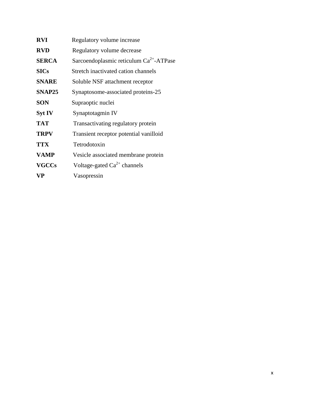| <b>RVI</b>    | Regulatory volume increase                          |
|---------------|-----------------------------------------------------|
| <b>RVD</b>    | Regulatory volume decrease                          |
| <b>SERCA</b>  | Sarcoendoplasmic reticulum Ca <sup>2+</sup> -ATPase |
| <b>SICs</b>   | Stretch inactivated cation channels                 |
| <b>SNARE</b>  | Soluble NSF attachment receptor                     |
| SNAP25        | Synaptosome-associated proteins-25                  |
| <b>SON</b>    | Supraoptic nuclei                                   |
| <b>Syt IV</b> | Synaptotagmin IV                                    |
| <b>TAT</b>    | Transactivating regulatory protein                  |
| <b>TRPV</b>   | Transient receptor potential vanilloid              |
| <b>TTX</b>    | Tetrodotoxin                                        |
| <b>VAMP</b>   | Vesicle associated membrane protein                 |
| <b>VGCCs</b>  | Voltage-gated $Ca^{2+}$ channels                    |
| <b>VP</b>     | Vasopressin                                         |
|               |                                                     |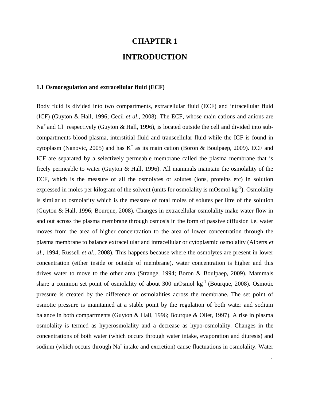# **CHAPTER 1 INTRODUCTION**

#### **1.1 Osmoregulation and extracellular fluid (ECF)**

Body fluid is divided into two compartments, extracellular fluid (ECF) and intracellular fluid (ICF) (Guyton & Hall, 1996; Cecil *et al*., 2008). The ECF, whose main cations and anions are  $Na<sup>+</sup>$  and Cl<sup>-</sup> respectively (Guyton & Hall, 1996), is located outside the cell and divided into subcompartments blood plasma, interstitial fluid and transcellular fluid while the ICF is found in cytoplasm (Nanovic, 2005) and has  $K^+$  as its main cation (Boron & Boulpaep, 2009). ECF and ICF are separated by a selectively permeable membrane called the plasma membrane that is freely permeable to water (Guyton & Hall, 1996). All mammals maintain the osmolality of the ECF, which is the measure of all the osmolytes or solutes (ions, proteins etc) in solution expressed in moles per kilogram of the solvent (units for osmolality is mOsmol  $kg^{-1}$ ). Osmolality is similar to osmolarity which is the measure of total moles of solutes per litre of the solution (Guyton & Hall, 1996; Bourque, 2008). Changes in extracellular osmolality make water flow in and out across the plasma membrane through osmosis in the form of passive diffusion i.e. water moves from the area of higher concentration to the area of lower concentration through the plasma membrane to balance extracellular and intracellular or cytoplasmic osmolality (Alberts *et al*., 1994; Russell *et al*., 2008). This happens because where the osmolytes are present in lower concentration (either inside or outside of membrane), water concentration is higher and this drives water to move to the other area (Strange, 1994; Boron & Boulpaep, 2009). Mammals share a common set point of osmolality of about 300 mOsmol kg-1 (Bourque, 2008). Osmotic pressure is created by the difference of osmolalities across the membrane. The set point of osmotic pressure is maintained at a stable point by the regulation of both water and sodium balance in both compartments (Guyton & Hall, 1996; Bourque & Oliet, 1997). A rise in plasma osmolality is termed as hyperosmolality and a decrease as hypo-osmolality. Changes in the concentrations of both water (which occurs through water intake, evaporation and diuresis) and sodium (which occurs through  $Na<sup>+</sup>$  intake and excretion) cause fluctuations in osmolality. Water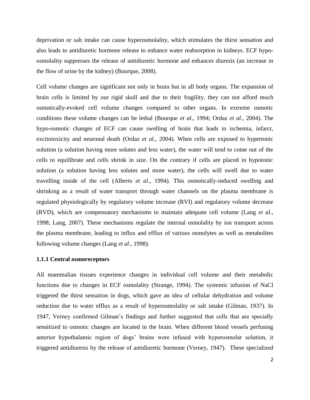deprivation or salt intake can cause hyperosmolality, which stimulates the thirst sensation and also leads to antidiuretic hormone release to enhance water reabsorption in kidneys. ECF hypoosmolality suppresses the release of antidiuretic hormone and enhances diuresis (an increase in the flow of urine by the kidney) (Bourque, 2008).

Cell volume changes are significant not only in brain but in all body organs. The expansion of brain cells is limited by our rigid skull and due to their fragility, they can not afford much osmotically-evoked cell volume changes compared to other organs. In extreme osmotic conditions these volume changes can be lethal (Bourque *et al*., 1994; Ordaz *et al*[., 2004\)](http://www.sciencedirect.com/science?_ob=ArticleURL&_udi=B7GJ0-4SF9MT2-1&_user=1069128&_coverDate=07%2F15%2F2008&_rdoc=1&_fmt=high&_orig=search&_origin=search&_sort=d&_docanchor=&view=c&_searchStrId=1586063143&_rerunOrigin=google&_acct=C000051260&_version=1&_urlVersion=0&_userid=1069128&md5=6cd090835d5a22089ec47b4f895d4705&searchtype=a#bbib23). The hypo-osmotic changes of ECF can cause swelling of brain that leads to ischemia, infarct, excitotoxicity and neuronal death (Ordaz *et al*., 2004). When cells are exposed to hypertonic solution (a solution having more solutes and less water), the water will tend to come out of the cells to equilibrate and cells shrink in size. On the contrary if cells are placed in hypotonic solution (a solution having less solutes and more water), the cells will swell due to water travelling inside of the cell (Alberts *et al*., 1994). This osmotically-induced swelling and shrinking as a result of water transport through water channels on the plasma membrane is regulated physiologically by regulatory volume increase (RVI) and regulatory volume decrease (RVD), which are compensatory mechanisms to maintain adequate cell volume (Lang *et al*., 1998; Lang, 2007). These mechanisms regulate the internal osmolality by ion transport across the plasma membrane, leading to influx and efflux of various osmolytes as well as metabolites following volume changes (Lang *et al*., 1998).

#### **1.1.1 Central osmoreceptors**

All mammalian tissues experience changes in individual cell volume and their metabolic functions due to changes in ECF osmolality (Strange, 1994). The systemic infusion of NaCl triggered the thirst sensation in dogs, which gave an idea of cellular dehydration and volume reduction due to water efflux as a result of hyperosmolality or salt intake (Gilman, 1937). In 1947, Verney confirmed Gilman's findings and further suggested that cells that are specially sensitized to osmotic changes are located in the brain. When different blood vessels perfusing anterior hypothalamic region of dogs' brains were infused with hyperosmolar solution, it triggered antidiuresis by the release of antidiuretic hormone (Verney, 1947). These specialized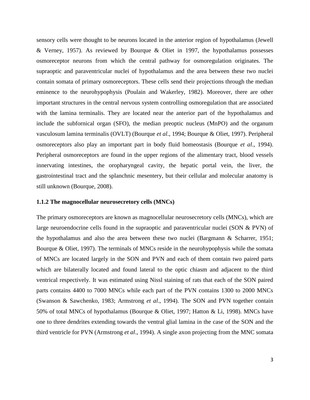sensory cells were thought to be neurons located in the anterior region of hypothalamus (Jewell & Verney, 1957). As reviewed by Bourque & Oliet in 1997, the hypothalamus possesses osmoreceptor neurons from which the central pathway for osmoregulation originates. The supraoptic and paraventricular nuclei of hypothalamus and the area between these two nuclei contain somata of primary osmoreceptors. These cells send their projections through the median eminence to the neurohypophysis (Poulain and Wakerley, 1982). Moreover, there are other important structures in the central nervous system controlling osmoregulation that are associated with the lamina terminalis. They are located near the anterior part of the hypothalamus and include the subfornical organ (SFO), the median preoptic nucleus (MnPO) and the organum vasculosum lamina terminalis (OVLT) (Bourque *et al*., 1994; Bourque & Oliet, 1997). Peripheral osmoreceptors also play an important part in body fluid homeostasis (Bourque *et al*., 1994). Peripheral osmoreceptors are found in the upper regions of the alimentary tract, blood vessels innervating intestines, the oropharyngeal cavity, the hepatic portal vein, the liver, the gastrointestinal tract and the splanchnic mesentery, but their cellular and molecular anatomy is still unknown (Bourque, 2008).

#### **1.1.2 The magnocellular neurosecretory cells (MNCs)**

The primary osmoreceptors are known as magnocellular neurosecretory cells (MNCs), which are large neuroendocrine cells found in the supraoptic and paraventricular nuclei (SON & PVN) of the hypothalamus and also the area between these two nuclei (Bargmann & Scharrer, 1951; Bourque & Oliet, 1997). The terminals of MNCs reside in the neurohypophysis while the somata of MNCs are located largely in the SON and PVN and each of them contain two paired parts which are bilaterally located and found lateral to the optic chiasm and adjacent to the third ventrical respectively. It was estimated using Nissl staining of rats that each of the SON paired parts contains 4400 to 7000 MNCs while each part of the PVN contains 1300 to 2000 MNCs (Swanson & Sawchenko, 1983; Armstrong *et al*., 1994). The SON and PVN together contain 50% of total MNCs of hypothalamus (Bourque & Oliet, 1997; Hatton & Li, 1998). MNCs have one to three dendrites extending towards the ventral glial lamina in the case of the SON and the third ventricle for PVN (Armstrong *et al*., 1994). A single axon projecting from the MNC somata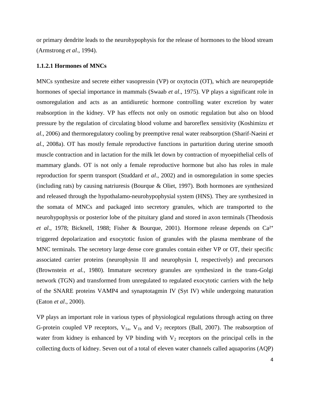or primary dendrite leads to the neurohypophysis for the release of hormones to the blood stream (Armstrong *et al*., 1994).

#### **1.1.2.1 Hormones of MNCs**

MNCs synthesize and secrete either vasopressin (VP) or oxytocin (OT), which are neuropeptide hormones of special importance in mammals (Swaab *et al*., 1975). VP plays a significant role in osmoregulation and acts as an antidiuretic hormone controlling water excretion by water reabsorption in the kidney. VP has effects not only on osmotic regulation but also on blood pressure by the regulation of circulating blood volume and baroreflex sensitivity (Koshimizu *et al*., 2006) and thermoregulatory cooling by preemptive renal water reabsorption (Sharif-Naeini *et al*., 2008a). OT has mostly female reproductive functions in parturition during uterine smooth muscle contraction and in lactation for the milk let down by contraction of myoepithelial cells of mammary glands. OT is not only a female reproductive hormone but also has roles in male reproduction for sperm transport (Studdard *et al*., 2002) and in osmoregulation in some species (including rats) by causing natriuresis (Bourque & Oliet, 1997). Both hormones are synthesized and released through the hypothalamo-neurohypophysial system (HNS). They are synthesized in the somata of MNCs and packaged into secretory granules, which are transported to the neurohypophysis or posterior lobe of the pituitary gland and stored in axon terminals (Theodosis *et al.*, 1978; Bicknell, 1988; Fisher & Bourque, 2001). Hormone release depends on Ca<sup>2+</sup> triggered depolarization and exocytotic fusion of granules with the plasma membrane of the MNC terminals. The secretory large dense core granules contain either VP or OT, their specific associated carrier proteins (neurophysin II and neurophysin I, respectively) and precursors (Brownstein *et al.,* 1980). Immature secretory granules are synthesized in the trans-Golgi network (TGN) and transformed from unregulated to regulated exocytotic carriers with the help of the SNARE proteins VAMP4 and synaptotagmin IV (Syt IV) while undergoing maturation (Eaton *et al*., 2000).

VP plays an important role in various types of physiological regulations through acting on three G-protein coupled VP receptors,  $V_{1a}$ ,  $V_{1b}$  and  $V_2$  receptors (Ball, 2007). The reabsorption of water from kidney is enhanced by VP binding with  $V_2$  receptors on the principal cells in the collecting ducts of kidney. Seven out of a total of eleven water channels called aquaporins (AQP)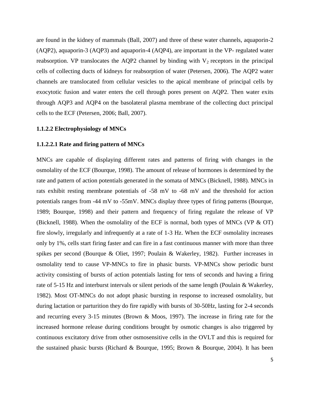are found in the kidney of mammals (Ball, 2007) and three of these water channels, aquaporin-2 (AQP2), aquaporin-3 (AQP3) and aquaporin-4 (AQP4), are important in the VP- regulated water reabsorption. VP translocates the AQP2 channel by binding with  $V_2$  receptors in the principal cells of collecting ducts of kidneys for reabsorption of water (Petersen, 2006). The AQP2 water channels are translocated from cellular vesicles to the apical membrane of principal cells by exocytotic fusion and water enters the cell through pores present on AQP2. Then water exits through AQP3 and AQP4 on the basolateral plasma membrane of the collecting duct principal cells to the ECF (Petersen, 2006; Ball, 2007).

#### **1.1.2.2 Electrophysiology of MNCs**

#### **1.1.2.2.1 Rate and firing pattern of MNCs**

MNCs are capable of displaying different rates and patterns of firing with changes in the osmolality of the ECF (Bourque, 1998). The amount of release of hormones is determined by the rate and pattern of action potentials generated in the somata of MNCs (Bicknell, 1988). MNCs in rats exhibit resting membrane potentials of -58 mV to -68 mV and the threshold for action potentials ranges from -44 mV to -55mV. MNCs display three types of firing patterns (Bourque, 1989; Bourque, 1998) and their pattern and frequency of firing regulate the release of VP (Bicknell, 1988). When the osmolality of the ECF is normal, both types of MNCs (VP  $&$  OT) fire slowly, irregularly and infrequently at a rate of 1-3 Hz. When the ECF osmolality increases only by 1%, cells start firing faster and can fire in a fast continuous manner with more than three spikes per second (Bourque & Oliet, 1997; Poulain & Wakerley, 1982). Further increases in osmolality tend to cause VP-MNCs to fire in phasic bursts. VP-MNCs show periodic burst activity consisting of bursts of action potentials lasting for tens of seconds and having a firing rate of 5-15 Hz and interburst intervals or silent periods of the same length (Poulain & Wakerley, 1982). Most OT-MNCs do not adopt phasic bursting in response to increased osmolality, but during lactation or parturition they do fire rapidly with bursts of 30-50Hz, lasting for 2-4 seconds and recurring every 3-15 minutes (Brown & Moos, 1997). The increase in firing rate for the increased hormone release during conditions brought by osmotic changes is also triggered by continuous excitatory drive from other osmosensitive cells in the OVLT and this is required for the sustained phasic bursts (Richard & Bourque, 1995; Brown & Bourque, 2004). It has been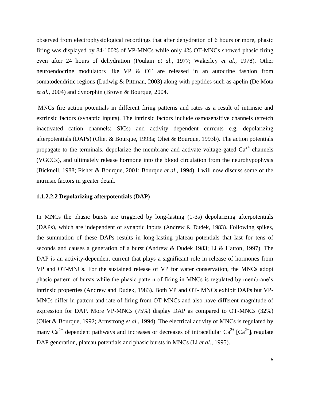observed from electrophysiological recordings that after dehydration of 6 hours or more, phasic firing was displayed by 84-100% of VP-MNCs while only 4% OT-MNCs showed phasic firing even after 24 hours of dehydration (Poulain *et al*., 1977; Wakerley *et al*., 1978). Other neuroendocrine modulators like VP & OT are released in an autocrine fashion from somatodendritic regions (Ludwig & Pittman, 2003) along with peptides such as apelin (De [Mota](http://jp.physoc.org/content/580/1/181.long#ref-8#ref-8) *et al.,* [2004\)](http://jp.physoc.org/content/580/1/181.long#ref-8#ref-8) and dynorphin (Brown & Bourque, 2004.

MNCs fire action potentials in different firing patterns and rates as a result of intrinsic and extrinsic factors (synaptic inputs). The intrinsic factors include osmosensitive channels (stretch inactivated cation channels; SICs) and activity dependent currents e.g. depolarizing afterpotentials (DAPs) (Oliet & Bourque, 1993a; Oliet & Bourque, 1993b). The action potentials propagate to the terminals, depolarize the membrane and activate voltage-gated  $Ca^{2+}$  channels (VGCCs), and ultimately release hormone into the blood circulation from the neurohypophysis (Bicknell, 1988; Fisher & Bourque, 2001; Bourque *et al*., 1994). I will now discuss some of the intrinsic factors in greater detail.

#### **1.1.2.2.2 Depolarizing afterpotentials (DAP)**

In MNCs the phasic bursts are triggered by long-lasting (1-3s) depolarizing afterpotentials (DAPs), which are independent of synaptic inputs (Andrew & Dudek, 1983). Following spikes, the summation of these DAPs results in long-lasting plateau potentials that last for tens of seconds and causes a generation of a burst (Andrew & Dudek 1983; Li & Hatton, 1997). The DAP is an activity-dependent current that plays a significant role in release of hormones from VP and OT-MNCs. For the sustained release of VP for water conservation, the MNCs adopt phasic pattern of bursts while the phasic pattern of firing in MNCs is regulated by membrane's intrinsic properties (Andrew and Dudek, 1983). Both VP and OT- MNCs exhibit DAPs but VP-MNCs differ in pattern and rate of firing from OT-MNCs and also have different magnitude of expression for DAP. More VP-MNCs (75%) display DAP as compared to OT-MNCs (32%) (Oliet & Bourque, 1992; Armstrong *et al*., 1994). The electrical activity of MNCs is regulated by many  $Ca^{2+}$  dependent pathways and increases or decreases of intracellular  $Ca^{2+}$  [Ca<sup>2+</sup>]<sub>i</sub> regulate DAP generation, plateau potentials and phasic bursts in MNCs (Li *et al*., 1995).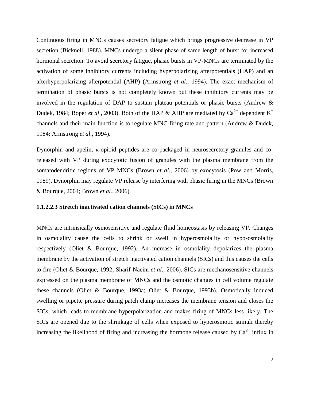Continuous firing in MNCs causes secretory fatigue which brings progressive decrease in VP secretion (Bicknell, 1988). MNCs undergo a silent phase of same length of burst for increased hormonal secretion. To avoid secretory fatigue, phasic bursts in VP-MNCs are terminated by the activation of some inhibitory currents including hyperpolarizing afterpotentials (HAP) and an afterhyperpolarizing afterpotential (AHP) (Armstrong *et al*., 1994). The exact mechanism of termination of phasic bursts is not completely known but these inhibitory currents may be involved in the regulation of DAP to sustain plateau potentials or phasic bursts (Andrew & Dudek, 1984; Roper *et al.*, 2003). Both of the HAP & AHP are mediated by  $Ca^{2+}$  dependent K<sup>+</sup> channels and their main function is to regulate MNC firing rate and pattern (Andrew & Dudek, 1984; Armstrong *et al*., 1994).

Dynorphin and apelin, κ-opioid peptides are co-packaged in neurosecretory granules and coreleased with VP during exocytotic fusion of granules with the plasma membrane from the somatodendritic regions of VP MNCs (Brown *et al*., 2006) by exocytosis (Pow and Morris, 1989). Dynorphin may regulate VP release by interfering with phasic firing in the MNCs (Brown & Bourque, 2004; Brown *et al.*, 2006).

#### **1.1.2.2.3 Stretch inactivated cation channels (SICs) in MNCs**

MNCs are intrinsically osmosensitive and regulate fluid homeostasis by releasing VP. Changes in osmolality cause the cells to shrink or swell in hyperosmolality or hypo-osmolality respectively (Oliet & Bourque, 1992). An increase in osmolality depolarizes the plasma membrane by the activation of stretch inactivated cation channels (SICs) and this causes the cells to fire (Oliet & Bourque, 1992; Sharif-Naeini *et al*., 2006). SICs are mechanosensitive channels expressed on the plasma membrane of MNCs and the osmotic changes in cell volume regulate these channels (Oliet & Bourque, 1993a; Oliet & Bourque, 1993b). Osmotically induced swelling or pipette pressure during patch clamp increases the membrane tension and closes the SICs, which leads to membrane hyperpolarization and makes firing of MNCs less likely. The SICs are opened due to the shrinkage of cells when exposed to hyperosmotic stimuli thereby increasing the likelihood of firing and increasing the hormone release caused by  $Ca^{2+}$  influx in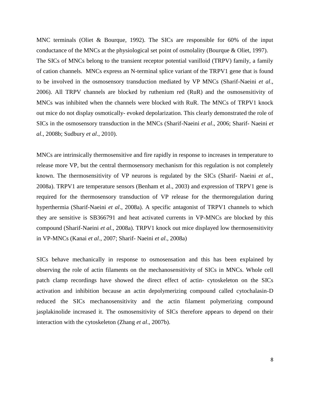MNC terminals (Oliet & Bourque, 1992). The SICs are responsible for 60% of the input conductance of the MNCs at the physiological set point of osmolality (Bourque & Oliet, 1997). The SICs of MNCs belong to the transient receptor potential vanilloid (TRPV) family, a family of cation channels. MNCs express an N-terminal splice variant of the TRPV1 gene that is found to be involved in the osmosensory transduction mediated by VP MNCs (Sharif-Naeini *et al*., 2006). All TRPV channels are blocked by ruthenium red (RuR) and the osmosensitivity of MNCs was inhibited when the channels were blocked with RuR. The MNCs of TRPV1 knock out mice do not display osmotically- evoked depolarization. This clearly demonstrated the role of SICs in the osmosensory transduction in the MNCs (Sharif-Naeini *et al*., 2006; Sharif- Naeini *et al*., 2008b; Sudbury *et al*., 2010).

MNCs are intrinsically thermosensitive and fire rapidly in response to increases in temperature to release more VP, but the central thermosensory mechanism for this regulation is not completely known. The thermosensitivity of VP neurons is regulated by the SICs (Sharif- Naeini *et al*., 2008a). TRPV1 are temperature sensors (Benham et al., 2003) and expression of TRPV1 gene is required for the thermosensory transduction of VP release for the thermoregulation during hyperthermia (Sharif-Naeini *et al*., 2008a). A specific antagonist of TRPV1 channels to which they are sensitive is SB366791 and heat activated currents in VP-MNCs are blocked by this compound (Sharif-Naeini *et al*., 2008a). TRPV1 knock out mice displayed low thermosensitivity in VP-MNCs (Kanai *et al*., 2007; Sharif- Naeini *et al*., 2008a)

SICs behave mechanically in response to osmosensation and this has been explained by observing the role of actin filaments on the mechanosensitivity of SICs in MNCs. Whole cell patch clamp recordings have showed the direct effect of actin- cytoskeleton on the SICs activation and inhibition because an actin depolymerizing compound called cytochalasin-D reduced the SICs mechanosensitivity and the actin filament polymerizing compound jasplakinolide increased it. The osmosensitivity of SICs therefore appears to depend on their interaction with the cytoskeleton (Zhang *et al*., 2007b).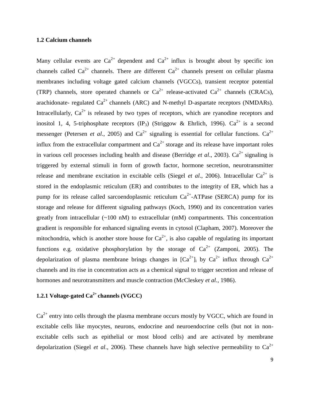#### **1.2 Calcium channels**

Many cellular events are  $Ca^{2+}$  dependent and  $Ca^{2+}$  influx is brought about by specific ion channels called  $Ca^{2+}$  channels. There are different  $Ca^{2+}$  channels present on cellular plasma membranes including voltage gated calcium channels (VGCCs), transient receptor potential (TRP) channels, store operated channels or  $Ca^{2+}$  release-activated  $Ca^{2+}$  channels (CRACs), arachidonate- regulated  $Ca^{2+}$  channels (ARC) and N-methyl D-aspartate receptors (NMDARs). Intracellularly,  $Ca^{2+}$  is released by two types of receptors, which are ryanodine receptors and inositol 1, 4, 5-triphosphate receptors (IP<sub>3</sub>) (Striggow & Ehrlich, 1996).  $Ca^{2+}$  is a second messenger (Petersen *et al.*, 2005) and  $Ca^{2+}$  signaling is essential for cellular functions.  $Ca^{2+}$ influx from the extracellular compartment and  $Ca^{2+}$  storage and its release have important roles in various cell processes including health and disease (Berridge *et al.*, 2003).  $Ca^{2+}$  signaling is triggered by external stimuli in form of growth factor, hormone secretion, neurotransmitter release and membrane excitation in excitable cells (Siegel *et al.*, 2006). Intracellular  $Ca^{2+}$  is stored in the endoplasmic reticulum (ER) and contributes to the integrity of ER, which has a pump for its release called sarcoendoplasmic reticulum  $Ca^{2+}$ -ATPase (SERCA) pump for its storage and release for different signaling pathways (Koch, 1990) and its concentration varies greatly from intracellular (~100 nM) to extracellular (mM) compartments. This concentration gradient is responsible for enhanced signaling events in cytosol (Clapham, 2007). Moreover the mitochondria, which is another store house for  $Ca^{2+}$ , is also capable of regulating its important functions e.g. oxidative phosphorylation by the storage of  $Ca^{2+}$  (Zamponi, 2005). The depolarization of plasma membrane brings changes in  $[Ca^{2+}]$ ; by  $Ca^{2+}$  influx through  $Ca^{2+}$ channels and its rise in concentration acts as a chemical signal to trigger secretion and release of hormones and neurotransmitters and muscle contraction (M*c*Cleskey *et al.*, 1986).

### **1.2.1 Voltage-gated Ca2+ channels (VGCC)**

 $Ca<sup>2+</sup>$  entry into cells through the plasma membrane occurs mostly by VGCC, which are found in excitable cells like myocytes, neurons, endocrine and neuroendocrine cells (but not in nonexcitable cells such as epithelial or most blood cells) and are activated by membrane depolarization (Siegel *et al.*, 2006). These channels have high selective permeability to  $Ca^{2+}$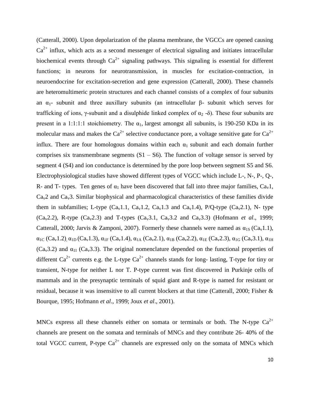(Catterall, 2000). Upon depolarization of the plasma membrane, the VGCCs are opened causing  $Ca<sup>2+</sup>$  influx, which acts as a second messenger of electrical signaling and initiates intracellular biochemical events through  $Ca^{2+}$  signaling pathways. This signaling is essential for different functions; in neurons for neurotransmission, in muscles for excitation-contraction, in neuroendocrine for excitation-secretion and gene expression (Catterall, 2000). These channels are heteromultimeric protein structures and each channel consists of a complex of four subunits an  $α_1$ - subunit and three auxillary subunits (an intracellular β- subunit which serves for trafficking of ions, γ-subunit and a disulphide linked complex of  $\alpha_2$  -δ). These four subunits are present in a 1:1:1:1 stoichiometry. The  $\alpha_1$ , largest amongst all subunits, is 190-250 KDa in its molecular mass and makes the  $Ca^{2+}$  selective conductance pore, a voltage sensitive gate for  $Ca^{2+}$ influx. There are four homologous domains within each  $\alpha_1$  subunit and each domain further comprises six transmembrane segments  $(S1 - S6)$ . The function of voltage sensor is served by segment 4 (S4) and ion conductance is determined by the pore loop between segment S5 and S6. Electrophysiological studies have showed different types of VGCC which include L-, N-, P-, Q-, R- and T- types. Ten genes of  $\alpha_1$  have been discovered that fall into three major families,  $Ca_v1$ ,  $Ca<sub>v</sub>2$  and  $Ca<sub>v</sub>3$ . Similar biophysical and pharmacological characteristics of these families divide them in subfamilies; L-type  $(Ca_v1.1, Ca_v1.2, Ca_v1.3$  and  $Ca_v1.4$ ), P/Q-type  $(Ca_v2.1)$ , N- type  $(Ca_v2.2)$ , R-type  $(Ca_v2.3)$  and T-types  $(Ca_v3.1, Ca_v3.2)$  and  $Ca_v3.3)$  (Hofmann *et al.*, 1999; Catterall, 2000; Jarvis & Zamponi, 2007). Formerly these channels were named as  $\alpha_{1S}$  (Ca<sub>v</sub>1.1),  $\alpha_{1C}$  (Ca<sub>v</sub>1.2),  $\alpha_{1D}$  (Ca<sub>v</sub>1.3),  $\alpha_{1F}$  (Ca<sub>v</sub>1.4),  $\alpha_{1A}$  (Ca<sub>v</sub>2.1),  $\alpha_{1B}$  (Ca<sub>v</sub>2.2),  $\alpha_{1E}$  (Ca<sub>v</sub>2.3),  $\alpha_{1G}$  (Ca<sub>v</sub>3.1),  $\alpha_{1H}$ (Ca<sub>v</sub>3.2) and  $\alpha_{11}$  (Ca<sub>v</sub>3.3). The original nomenclature depended on the functional properties of different  $Ca^{2+}$  currents e.g. the L-type  $Ca^{2+}$  channels stands for long- lasting, T-type for tiny or transient, N-type for neither L nor T. P-type current was first discovered in Purkinje cells of mammals and in the presynaptic terminals of squid giant and R-type is named for resistant or residual, because it was insensitive to all current blockers at that time (Catterall, 2000; Fisher & Bourque, 1995; Hofmann *et al*., 1999; Joux *et al*., 2001).

MNCs express all these channels either on somata or terminals or both. The N-type  $Ca^{2+}$ channels are present on the somata and terminals of MNCs and they contribute 26- 40% of the total VGCC current, P-type  $Ca^{2+}$  channels are expressed only on the somata of MNCs which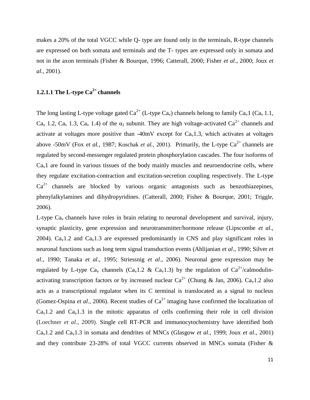makes a 20% of the total VGCC while Q- type are found only in the terminals, R-type channels are expressed on both somata and terminals and the T- types are expressed only in somata and not in the axon terminals (Fisher & Bourque, 1996; Catterall, 2000; Fisher *et al*., 2000; Joux *et al*., 2001).

### **1.2.1.1 The L-type Ca2+ channels**

The long lasting L-type voltage gated  $Ca^{2+}$  (L-type  $Ca_v$ ) channels belong to family  $Ca_v1$  (Ca<sub>v</sub> 1.1,  $Ca<sub>v</sub>$  1.2,  $Ca<sub>v</sub>$  1.3,  $Ca<sub>v</sub>$  1.4) of the  $\alpha_1$  subunit. They are high voltage-activated  $Ca<sup>2+</sup>$  channels and activate at voltages more positive than -40mV except for  $Ca<sub>v</sub>1.3$ , which activates at voltages above -50mV (Fox *et al.*, 1987; Koschak *et al.*, 2001). Primarily, the L-type  $Ca^{2+}$  channels are regulated by second-messenger regulated protein phosphorylation cascades. The four isoforms of  $Ca<sub>v</sub>1$  are found in various tissues of the body mainly muscles and neuroendocrine cells, where they regulate excitation-contraction and excitation-secretion coupling respectively. The L-type  $Ca<sup>2+</sup>$  channels are blocked by various organic antagonists such as benzothiazepines, phenylalkylamines and dihydropyridines. (Catterall, 2000; Fisher & Bourque, 2001; Triggle, 2006).

L-type  $Ca<sub>v</sub>$  channels have roles in brain relating to neuronal development and survival, injury, synaptic plasticity, gene expression and neurotransmitter/hormone release (Lipscombe *et al*., 2004).  $Ca<sub>v</sub>1.2$  and  $Ca<sub>v</sub>1.3$  are expressed predominantly in CNS and play significant roles in neuronal functions such as long term signal transduction events (Ahlijanian *et al*., 1990; Silver *et al*., 1990; Tanaka *et al*., 1995; Striessnig *et al*., 2006). Neuronal gene expression may be regulated by L-type Ca<sub>v</sub> channels (Ca<sub>v</sub>1.2 & Ca<sub>v</sub>1.3) by the regulation of Ca<sup>2+</sup>/calmodulinactivating transcription factors or by increased nuclear  $Ca^{2+}$  (Chung & Jan, 2006).  $Ca_v1.2$  also acts as a transcriptional regulator when its C terminal is translocated as a signal to nucleus (Gomez-Ospina *et al.*, 2006). Recent studies of  $Ca^{2+}$  imaging have confirmed the localization of  $Ca<sub>v</sub>1.2$  and  $Ca<sub>v</sub>1.3$  in the mitotic apparatus of cells confirming their role in cell division (Loechner *et al*., 2009). Single cell RT-PCR and immunocytochemistry have identified both Cav1.2 and Cav1.3 in somata and dendrites of MNCs (Glasgow *et al*., 1999; Joux *et al*., 2001) and they contribute 23-28% of total VGCC currents observed in MNCs somata (Fisher &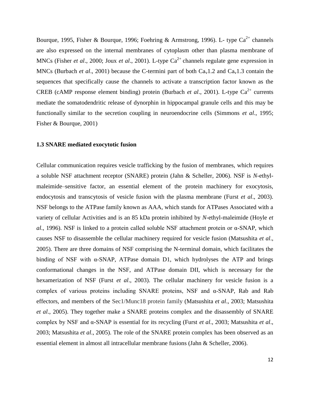Bourque, 1995, Fisher & Bourque, 1996; Foehring & Armstrong, 1996). L- type  $Ca^{2+}$  channels are also expressed on the internal membranes of cytoplasm other than plasma membrane of MNCs (Fisher *et al.*, 2000; Joux *et al.*, 2001). L-type Ca<sup>2+</sup> channels regulate gene expression in MNCs (Burbach *et al.*, 2001) because the C-termini part of both  $Ca<sub>v</sub>1.2$  and  $Ca<sub>v</sub>1.3$  contain the sequences that specifically cause the channels to activate a transcription factor known as the CREB (cAMP response element binding) protein (Burbach *et al.*, 2001). L-type Ca<sup>2+</sup> currents mediate the somatodendritic release of dynorphin in hippocampal granule cells and this may be functionally similar to the secretion coupling in neuroendocrine cells (Simmons *et al*., 1995; Fisher & Bourque, 2001)

#### **1.3 SNARE mediated exocytotic fusion**

Cellular communication requires vesicle trafficking by the fusion of membranes, which requires a soluble NSF attachment receptor (SNARE) protein (Jahn & Scheller, 2006). NSF is *N*-ethylmaleimide–sensitive factor, an essential element of the protein machinery for exocytosis, endocytosis and transcytosis of vesicle fusion with the plasma membrane (Furst *et al*., 2003). NSF belongs to the ATPase family known as AAA, which stands for ATPases Associated with a variety of cellular Activities and is an 85 kDa protein inhibited by *N*-ethyl-maleimide (Hoyle *et al*., 1996). NSF is linked to a protein called soluble NSF attachment protein or α-SNAP, which causes NSF to disassemble the cellular machinery required for vesicle fusion (Matsushita *et al*., 2005). There are three domains of NSF comprising the N-terminal domain, which facilitates the binding of NSF with  $\alpha$ -SNAP, ATPase domain D1, which hydrolyses the ATP and brings conformational changes in the NSF, and ATPase domain DII, which is necessary for the hexamerization of NSF (Furst *et al*., 2003). The cellular machinery for vesicle fusion is a complex of various proteins including SNARE proteins, NSF and α-SNAP, Rab and Rab effectors, and members of the Sec1/Munc18 protein family (Matsushita *et al*., 2003; Matsushita *et al*., 2005). They together make a SNARE proteins complex and the disassembly of SNARE complex by NSF and α-SNAP is essential for its recycling (Furst *et al*., 2003; Matsushita *et al*., 2003; Matsushita *et al*., 2005). The role of the SNARE protein complex has been observed as an essential element in almost all intracellular membrane fusions (Jahn & Scheller, 2006).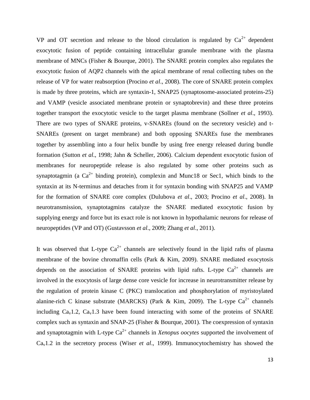VP and OT secretion and release to the blood circulation is regulated by  $Ca^{2+}$  dependent exocytotic fusion of peptide containing intracellular granule membrane with the plasma membrane of MNCs (Fisher & Bourque, 2001). The SNARE protein complex also regulates the exocytotic fusion of AQP2 channels with the apical membrane of renal collecting tubes on the release of VP for water reabsorption (Procino *et al*., 2008). The core of SNARE protein complex is made by three proteins, which are syntaxin-1, SNAP25 (synaptosome-associated proteins-25) and VAMP (vesicle associated membrane protein or synaptobrevin) and these three proteins together transport the exocytotic vesicle to the target plasma membrane (Sollner *et al*., 1993). There are two types of SNARE proteins, v-SNAREs (found on the secretory vesicle) and t-SNAREs (present on target membrane) and both opposing SNAREs fuse the membranes together by assembling into a four helix bundle by using free energy released during bundle formation (Sutton *et al*., 1998; Jahn & Scheller, 2006). Calcium dependent exocytotic fusion of membranes for neuropeptide release is also regulated by some other proteins such as synaptotagmin (a  $Ca^{2+}$  binding protein), complexin and Munc18 or Sec1, which binds to the syntaxin at its N-terminus and detaches from it for syntaxin bonding with SNAP25 and VAMP for the formation of SNARE core complex (Dulubova *et al*., 2003; Procino *et al*., 2008). In neurotransmission, synaptotagmins catalyze the SNARE mediated exocytotic fusion by supplying energy and force but its exact role is not known in hypothalamic neurons for release of neuropeptides (VP and OT) (Gustavsson *et al*., 2009; Zhang *et al*., 2011).

It was observed that L-type  $Ca^{2+}$  channels are selectively found in the lipid rafts of plasma membrane of the bovine chromaffin cells (Park & Kim, 2009). SNARE mediated exocytosis depends on the association of SNARE proteins with lipid rafts. L-type  $Ca^{2+}$  channels are involved in the exocytosis of large dense core vesicle for increase in neurotransmitter release by the regulation of protein kinase C (PKC) translocation and phosphorylation of myristoylated alanine-rich C kinase substrate (MARCKS) (Park & Kim, 2009). The L-type  $Ca^{2+}$  channels including  $Ca<sub>v</sub>1.2$ ,  $Ca<sub>v</sub>1.3$  have been found interacting with some of the proteins of SNARE complex such as syntaxin and SNAP-25 (Fisher & Bourque, 2001). The coexpression of syntaxin and synaptotagmin with L-type Ca<sup>2+</sup> channels in *Xenopus oocytes* supported the involvement of Cav1.2 in the secretory process (Wiser *et al*., 1999). Immunocytochemistry has showed the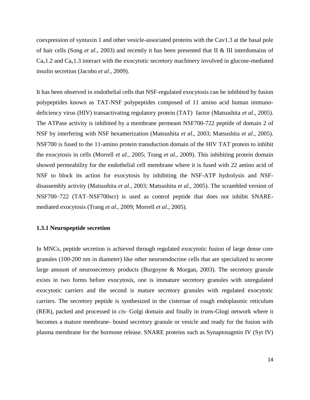coexpression of syntaxin 1 and other vesicle-associated proteins with the Cav1.3 at the basal pole of hair cells (Song *et al*., 2003) and recently it has been presented that II & III interdomains of  $Ca<sub>v</sub>1.2$  and  $Ca<sub>v</sub>1.3$  interact with the exocytotic secretory machinery involved in glucose-mediated insulin secretion (Jacobo *et al*., 2009).

It has been observed in endothelial cells that NSF-regulated exocytosis can be inhibited by fusion polypeptides known as TAT-NSF polypeptides composed of 11 amino acid human immunodeficiency virus (HIV) transactivating regulatory protein (TAT) factor (Matsushita *et al*., 2005). The ATPase activity is inhibited by a membrane permeant NSF700-722 peptide of domain 2 of NSF by interfering with NSF hexamerization (Matsushita *et al*., 2003; Matsushita *et al*., 2005). NSF700 is fused to the 11-amino protein transduction domain of the HIV TAT protein to inhibit the exocytosis in cells (Morrell *et al*., 2005; Trang *et al*., 2009). This inhibiting protein domain showed permeability for the endothelial cell membrane where it is fused with 22 amino acid of NSF to block its action for exocytosis by inhibiting the NSF-ATP hydrolysis and NSFdisassembly activity (Matsushita *et al*., 2003; Matsushita *et al*., 2005). The scrambled version of NSF700–722 (TAT–NSF700scr) is used as control peptide that does not inhibit SNAREmediated exocytosis (Trang *et al*., 2009; Morrell *et al*., 2005).

#### **1.3.1 Neuropeptide secretion**

In MNCs, peptide secretion is achieved through regulated exocytotic fusion of large dense core granules (100-200 nm in diameter) like other neuroendocrine cells that are specialized to secrete large amount of neurosecretory products (Burgoyne & Morgan, 2003). The secretory granule exists in two forms before exocytosis, one is immature secretory granules with unregulated exocytotic carriers and the second is mature secretory granules with regulated exocytotic carriers. The secretory peptide is synthesized in the cisternae of rough endoplasmic reticulum (RER), packed and processed in *cis*- Golgi domain and finally in *trans*-Glogi network where it becomes a mature membrane- bound secretory granule or vesicle and ready for the fusion with plasma membrane for the hormone release. SNARE proteins such as Synaptotagmin IV (Syt IV)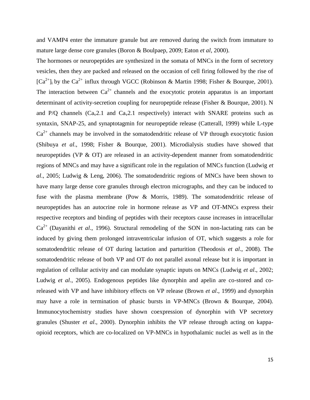and VAMP4 enter the immature granule but are removed during the switch from immature to mature large dense core granules (Boron & Boulpaep, 2009; Eaton *et al*, 2000).

The hormones or neuropeptides are synthesized in the somata of MNCs in the form of secretory vesicles, then they are packed and released on the occasion of cell firing followed by the rise of  $[Ca^{2+}]\$ i by the Ca<sup>2+</sup> influx through VGCC (Robinson & Martin 1998; Fisher & Bourque, 2001). The interaction between  $Ca^{2+}$  channels and the exocytotic protein apparatus is an important determinant of activity-secretion coupling for neuropeptide release (Fisher & Bourque, 2001). N and P/Q channels  $(Ca<sub>v</sub>2.1$  and  $Ca<sub>v</sub>2.1$  respectively) interact with SNARE proteins such as syntaxin, SNAP-25, and synaptotagmin for neuropeptide release (Catterall, 1999) while L-type  $Ca<sup>2+</sup>$  channels may be involved in the somatodendritic release of VP through exocytotic fusion (Shibuya *et al*., 1998; Fisher & Bourque, 2001). Microdialysis studies have showed that neuropeptides (VP & OT) are released in an activity-dependent manner from somatodendritic regions of MNCs and may have a significant role in the regulation of MNCs function (Ludwig *et al*., 2005; Ludwig & Leng, 2006). The somatodendritic regions of MNCs have been shown to have many large dense core granules through electron micrographs, and they can be induced to fuse with the plasma membrane (Pow & Morris, 1989). The somatodendritic release of neuropeptides has an autocrine role in hormone release as VP and OT-MNCs express their respective receptors and binding of peptides with their receptors cause increases in intracellular Ca2+ (Dayanithi *et al*., 1996). Structural remodeling of the SON in non-lactating rats can be induced by giving them prolonged intraventricular infusion of OT, which suggests a role for somatodendritic release of OT during lactation and parturition (Theodosis *et al*., 2008). The somatodendritic release of both VP and OT do not parallel axonal release but it is important in regulation of cellular activity and can modulate synaptic inputs on MNCs (Ludwig *et al*., 2002; Ludwig *et al*., 2005). Endogenous peptides like dynorphin and apelin are co-stored and coreleased with VP and have inhibitory effects on VP release (Brown *et al*., 1999) and dynorphin may have a role in termination of phasic bursts in VP-MNCs (Brown & Bourque, 2004). Immunocytochemistry studies have shown coexpression of dynorphin with VP secretory granules (Shuster *et al*., 2000). Dynorphin inhibits the VP release through acting on kappaopioid receptors, which are co-localized on VP-MNCs in hypothalamic nuclei as well as in the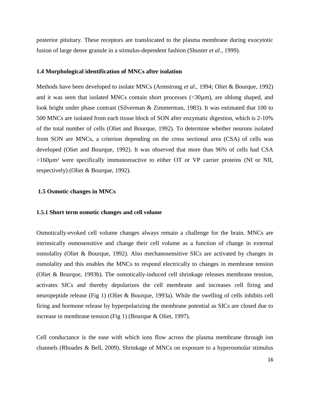posterior pituitary. These receptors are translocated to the plasma membrane during exocytotic fusion of large dense granule in a stimulus-dependent fashion (Shuster *et al*., 1999).

#### **1.4 Morphological identification of MNCs after isolation**

Methods have been developed to isolate MNCs (Armstrong *et al*., 1994; Oliet & Bourque, 1992) and it was seen that isolated MNCs contain short processes (<30 $\mu$ m), are oblong shaped, and look bright under phase contrast (Silverman & Zimmerman, 1983). It was estimated that 100 to 500 MNCs are isolated from each tissue block of SON after enzymatic digestion, which is 2-10% of the total number of cells (Oliet and Bourque, 1992). To determine whether neurons isolated from SON are MNCs, a criterion depending on the cross sectional area (CSA) of cells was developed (Oliet and Bourque, 1992). It was observed that more than 96% of cells had CSA >160µm² were specifically immunoreactive to either OT or VP carrier proteins (NI or NII, respectively) (Oliet & Bourque, 1992).

#### **1.5 Osmotic changes in MNCs**

#### **1.5.1 Short term osmotic changes and cell volume**

Osmotically-evoked cell volume changes always remain a challenge for the brain. MNCs are intrinsically osmosensitive and change their cell volume as a function of change in external osmolality (Oliet & Bourque, 1992). Also mechanosensitive SICs are activated by changes in osmolality and this enables the MNCs to respond electrically to changes in membrane tension (Oliet & Bourque, 1993b). The osmotically-induced cell shrinkage releases membrane tension, activates SICs and thereby depolarizes the cell membrane and increases cell firing and neuropeptide release (Fig 1) (Oliet & Bourque, 1993a). While the swelling of cells inhibits cell firing and hormone release by hyperpolarizing the membrane potential as SICs are closed due to increase in membrane tension (Fig 1) (Bourque & Oliet, 1997).

Cell conductance is the ease with which ions flow across the plasma membrane through ion channels (Rhoades & Bell, 2009). Shrinkage of MNCs on exposure to a hyperosmolar stimulus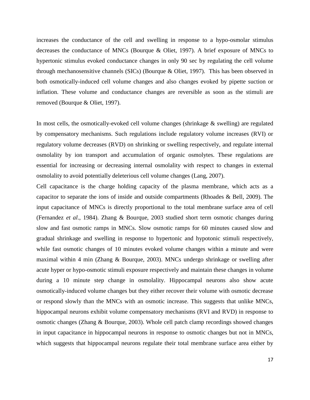increases the conductance of the cell and swelling in response to a hypo-osmolar stimulus decreases the conductance of MNCs (Bourque & Oliet, 1997). A brief exposure of MNCs to hypertonic stimulus evoked conductance changes in only 90 sec by regulating the cell volume through mechanosensitive channels (SICs) (Bourque & Oliet, 1997). This has been observed in both osmotically-induced cell volume changes and also changes evoked by pipette suction or inflation. These volume and conductance changes are reversible as soon as the stimuli are removed (Bourque & Oliet, 1997).

In most cells, the osmotically-evoked cell volume changes (shrinkage & swelling) are regulated by compensatory mechanisms. Such regulations include regulatory volume increases (RVI) or regulatory volume decreases (RVD) on shrinking or swelling respectively, and regulate internal osmolality by ion transport and accumulation of organic osmolytes. These regulations are essential for increasing or decreasing internal osmolality with respect to changes in external osmolality to avoid potentially deleterious cell volume changes (Lang, 2007).

Cell capacitance is the charge holding capacity of the plasma membrane, which acts as a capacitor to separate the ions of inside and outside compartments (Rhoades & Bell, 2009). The input capacitance of MNCs is directly proportional to the total membrane surface area of cell (Fernandez *et al*., 1984). Zhang & Bourque, 2003 studied short term osmotic changes during slow and fast osmotic ramps in MNCs. Slow osmotic ramps for 60 minutes caused slow and gradual shrinkage and swelling in response to hypertonic and hypotonic stimuli respectively, while fast osmotic changes of 10 minutes evoked volume changes within a minute and were maximal within 4 min (Zhang & Bourque, 2003). MNCs undergo shrinkage or swelling after acute hyper or hypo-osmotic stimuli exposure respectively and maintain these changes in volume during a 10 minute step change in osmolality. Hippocampal neurons also show acute osmotically-induced volume changes but they either recover their volume with osmotic decrease or respond slowly than the MNCs with an osmotic increase. This suggests that unlike MNCs, hippocampal neurons exhibit volume compensatory mechanisms (RVI and RVD) in response to osmotic changes (Zhang & Bourque, 2003). Whole cell patch clamp recordings showed changes in input capacitance in hippocampal neurons in response to osmotic changes but not in MNCs, which suggests that hippocampal neurons regulate their total membrane surface area either by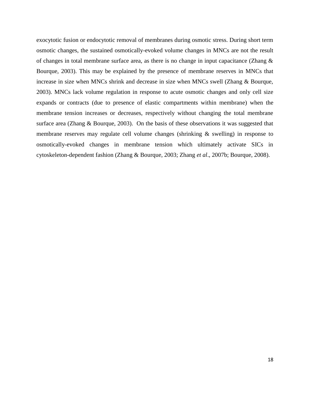exocytotic fusion or endocytotic removal of membranes during osmotic stress. During short term osmotic changes, the sustained osmotically-evoked volume changes in MNCs are not the result of changes in total membrane surface area, as there is no change in input capacitance (Zhang & Bourque, 2003). This may be explained by the presence of membrane reserves in MNCs that increase in size when MNCs shrink and decrease in size when MNCs swell (Zhang & Bourque, 2003). MNCs lack volume regulation in response to acute osmotic changes and only cell size expands or contracts (due to presence of elastic compartments within membrane) when the membrane tension increases or decreases, respectively without changing the total membrane surface area (Zhang & Bourque, 2003). On the basis of these observations it was suggested that membrane reserves may regulate cell volume changes (shrinking & swelling) in response to osmotically-evoked changes in membrane tension which ultimately activate SICs in cytoskeleton-dependent fashion (Zhang & Bourque, 2003; Zhang *et al*., 2007b; Bourque, 2008).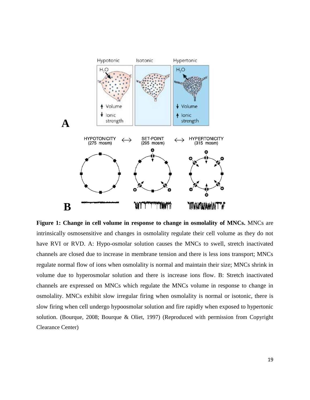

**Figure 1: Change in cell volume in response to change in osmolality of MNCs.** MNCs are intrinsically osmosensitive and changes in osmolality regulate their cell volume as they do not have RVI or RVD. A: Hypo-osmolar solution causes the MNCs to swell, stretch inactivated channels are closed due to increase in membrane tension and there is less ions transport; MNCs regulate normal flow of ions when osmolality is normal and maintain their size; MNCs shrink in volume due to hyperosmolar solution and there is increase ions flow. B: Stretch inactivated channels are expressed on MNCs which regulate the MNCs volume in response to change in osmolality. MNCs exhibit slow irregular firing when osmolality is normal or isotonic, there is slow firing when cell undergo hypoosmolar solution and fire rapidly when exposed to hypertonic solution. (Bourque, 2008; Bourque & Oliet, 1997) (Reproduced with permission from Copyright Clearance Center)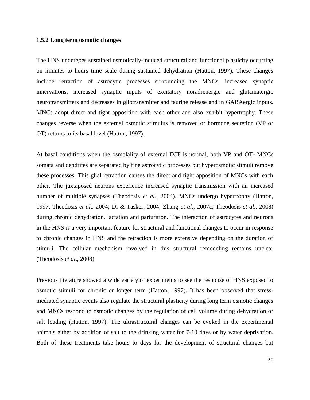#### **1.5.2 Long term osmotic changes**

The HNS undergoes sustained osmotically-induced structural and functional plasticity occurring on minutes to hours time scale during sustained dehydration (Hatton, 1997). These changes include retraction of astrocytic processes surrounding the MNCs, increased synaptic innervations, increased synaptic inputs of excitatory noradrenergic and glutamatergic neurotransmitters and decreases in gliotransmitter and taurine release and in GABAergic inputs. MNCs adopt direct and tight apposition with each other and also exhibit hypertrophy. These changes reverse when the external osmotic stimulus is removed or hormone secretion (VP or OT) returns to its basal level (Hatton, 1997).

At basal conditions when the osmolality of external ECF is normal, both VP and OT- MNCs somata and dendrites are separated by fine astrocytic processes but hyperosmotic stimuli remove these processes. This glial retraction causes the direct and tight apposition of MNCs with each other. The juxtaposed neurons experience increased synaptic transmission with an increased number of multiple synapses (Theodosis *et al*., 2004). MNCs undergo hypertrophy (Hatton, 1997, Theodosis *et al*,. 2004; Di & Tasker, 2004; Zhang *et al*., 2007a; Theodosis *et al*., 2008) during chronic dehydration, lactation and parturition. The interaction of astrocytes and neurons in the HNS is a very important feature for structural and functional changes to occur in response to chronic changes in HNS and the retraction is more extensive depending on the duration of stimuli. The cellular mechanism involved in this structural remodeling remains unclear (Theodosis *et al*., 2008).

Previous literature showed a wide variety of experiments to see the response of HNS exposed to osmotic stimuli for chronic or longer term (Hatton, 1997). It has been observed that stressmediated synaptic events also regulate the structural plasticity during long term osmotic changes and MNCs respond to osmotic changes by the regulation of cell volume during dehydration or salt loading (Hatton, 1997). The ultrastructural changes can be evoked in the experimental animals either by addition of salt to the drinking water for 7-10 days or by water deprivation. Both of these treatments take hours to days for the development of structural changes but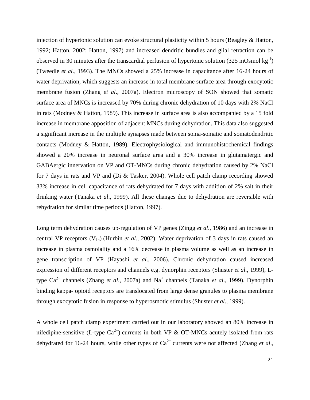injection of hypertonic solution can evoke structural plasticity within 5 hours (Beagley & Hatton, 1992; Hatton, 2002; Hatton, 1997) and increased dendritic bundles and glial retraction can be observed in 30 minutes after the transcardial perfusion of hypertonic solution (325 mOsmol kg<sup>-1</sup>) (Tweedle *et al*., 1993). The MNCs showed a 25% increase in capacitance after 16-24 hours of water deprivation, which suggests an increase in total membrane surface area through exocytotic membrane fusion (Zhang *et al*., 2007a). Electron microscopy of SON showed that somatic surface area of MNCs is increased by 70% during chronic dehydration of 10 days with 2% NaCl in rats (Modney & Hatton, 1989). This increase in surface area is also accompanied by a 15 fold increase in membrane apposition of adjacent MNCs during dehydration. This data also suggested a significant increase in the multiple synapses made between soma-somatic and somatodendritic contacts (Modney & Hatton, 1989). Electrophysiological and immunohistochemical findings showed a 20% increase in neuronal surface area and a 30% increase in glutamatergic and GABAergic innervation on VP and OT-MNCs during chronic dehydration caused by 2% NaCl for 7 days in rats and VP and (Di & Tasker, 2004). Whole cell patch clamp recording showed 33% increase in cell capacitance of rats dehydrated for 7 days with addition of 2% salt in their drinking water (Tanaka *et al*., 1999). All these changes due to dehydration are reversible with rehydration for similar time periods (Hatton, 1997).

Long term dehydration causes up-regulation of VP genes (Zingg *et al*., 1986) and an increase in central VP receptors (V<sub>1a</sub>) (Hurbin *et al.*, 2002). Water deprivation of 3 days in rats caused an increase in plasma osmolality and a 16% decrease in plasma volume as well as an increase in gene transcription of VP (Hayashi *et al*., 2006). Chronic dehydration caused increased expression of different receptors and channels e.g. dynorphin receptors (Shuster *et al*., 1999), Ltype Ca<sup>2+</sup> channels (Zhang *et al.*, 2007a) and Na<sup>+</sup> channels (Tanaka *et al.*, 1999). Dynorphin binding kappa- opioid receptors are translocated from large dense granules to plasma membrane through exocytotic fusion in response to hyperosmotic stimulus (Shuster *et al*., 1999).

A whole cell patch clamp experiment carried out in our laboratory showed an 80% increase in nifedipine-sensitive (L-type  $Ca^{2+}$ ) currents in both VP & OT-MNCs acutely isolated from rats dehydrated for 16-24 hours, while other types of  $Ca^{2+}$  currents were not affected (Zhang *et al.*,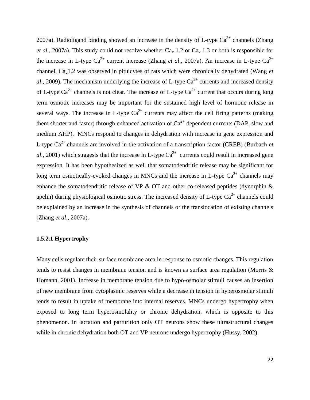2007a). Radioligand binding showed an increase in the density of L-type  $Ca^{2+}$  channels (Zhang *et al.*, 2007a). This study could not resolve whether  $Ca<sub>v</sub>$  1.2 or  $Ca<sub>v</sub>$  1.3 or both is responsible for the increase in L-type  $Ca^{2+}$  current increase (Zhang *et al.*, 2007a). An increase in L-type  $Ca^{2+}$ channel, Cav1.2 was observed in pituicytes of rats which were chronically dehydrated (Wang *et al.*, 2009). The mechanism underlying the increase of L-type  $Ca^{2+}$  currents and increased density of L-type  $Ca^{2+}$  channels is not clear. The increase of L-type  $Ca^{2+}$  current that occurs during long term osmotic increases may be important for the sustained high level of hormone release in several ways. The increase in L-type  $Ca^{2+}$  currents may affect the cell firing patterns (making them shorter and faster) through enhanced activation of  $Ca^{2+}$  dependent currents (DAP, slow and medium AHP). MNCs respond to changes in dehydration with increase in gene expression and L-type  $Ca^{2+}$  channels are involved in the activation of a transcription factor (CREB) (Burbach *et*  $al.$ , 2001) which suggests that the increase in L-type  $Ca^{2+}$  currents could result in increased gene expression. It has been hypothesized as well that somatodendritic release may be significant for long term osmotically-evoked changes in MNCs and the increase in L-type  $Ca^{2+}$  channels may enhance the somatodendritic release of VP  $\&$  OT and other co-released peptides (dynorphin  $\&$ apelin) during physiological osmotic stress. The increased density of L-type  $Ca^{2+}$  channels could be explained by an increase in the synthesis of channels or the translocation of existing channels (Zhang *et al*., 2007a).

#### **1.5.2.1 Hypertrophy**

Many cells regulate their surface membrane area in response to osmotic changes. This regulation tends to resist changes in membrane tension and is known as surface area regulation (Morris & Homann, 2001). Increase in membrane tension due to hypo-osmolar stimuli causes an insertion of new membrane from cytoplasmic reserves while a decrease in tension in hyperosmolar stimuli tends to result in uptake of membrane into internal reserves. MNCs undergo hypertrophy when exposed to long term hyperosmolality or chronic dehydration, which is opposite to this phenomenon. In lactation and parturition only OT neurons show these ultrastructural changes while in chronic dehydration both OT and VP neurons undergo hypertrophy (Hussy, 2002).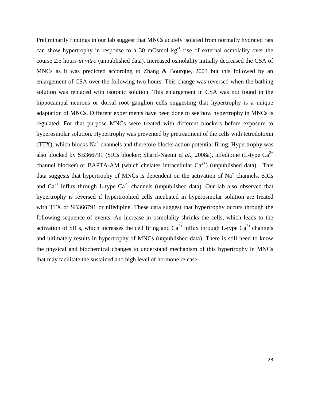Preliminarily findings in our lab suggest that MNCs acutely isolated from normally hydrated rats can show hypertrophy in response to a 30 mOsmol  $kg^{-1}$  rise of external osmolality over the course 2.5 hours *in vitro* (unpublished data). Increased osmolality initially decreased the CSA of MNCs as it was predicted according to Zhang & Bourque, 2003 but this followed by an enlargement of CSA over the following two hours. This change was reversed when the bathing solution was replaced with isotonic solution. This enlargement in CSA was not found in the hippocampal neurons or dorsal root ganglion cells suggesting that hypertrophy is a unique adaptation of MNCs. Different experiments have been done to see how hypertrophy in MNCs is regulated. For that purpose MNCs were treated with different blockers before exposure to hyperosmolar solution. Hypertrophy was prevented by pretreatment of the cells with tetrodotoxin  $(TTX)$ , which blocks Na<sup>+</sup> channels and therefore blocks action potential firing. Hypertrophy was also blocked by SB366791 (SICs blocker; Sharif-Naeini et al., 2008a), nifedipine (L-type Ca<sup>2+</sup> channel blocker) or BAPTA-AM (which chelates intracellular  $Ca^{2+}$ ) (unpublished data). This data suggests that hypertrophy of MNCs is dependent on the activation of  $Na<sup>+</sup>$  channels, SICs and  $Ca^{2+}$  influx through L-type  $Ca^{2+}$  channels (unpublished data). Our lab also observed that hypertrophy is reversed if hypertrophied cells incubated in hyperosmolar solution are treated with TTX or SB366791 or nifedipine. These data suggest that hypertrophy occurs through the following sequence of events. An increase in osmolality shrinks the cells, which leads to the activation of SICs, which increases the cell firing and  $Ca^{2+}$  influx through L-type  $Ca^{2+}$  channels and ultimately results in hypertrophy of MNCs (unpublished data). There is still need to know the physical and biochemical changes to understand mechanism of this hypertrophy in MNCs that may facilitate the sustained and high level of hormone release.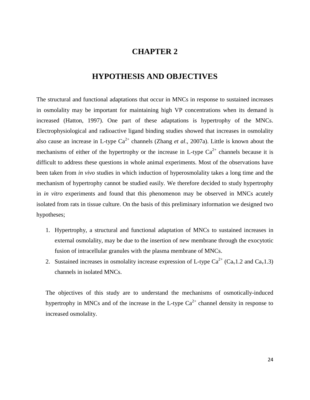### **CHAPTER 2**

# **HYPOTHESIS AND OBJECTIVES**

The structural and functional adaptations that occur in MNCs in response to sustained increases in osmolality may be important for maintaining high VP concentrations when its demand is increased (Hatton, 1997). One part of these adaptations is hypertrophy of the MNCs. Electrophysiological and radioactive ligand binding studies showed that increases in osmolality also cause an increase in L-type  $Ca^{2+}$  channels (Zhang *et al.*, 2007a). Little is known about the mechanisms of either of the hypertrophy or the increase in L-type  $Ca^{2+}$  channels because it is difficult to address these questions in whole animal experiments. Most of the observations have been taken from *in vivo* studies in which induction of hyperosmolality takes a long time and the mechanism of hypertrophy cannot be studied easily. We therefore decided to study hypertrophy in *in vitro* experiments and found that this phenomenon may be observed in MNCs acutely isolated from rats in tissue culture. On the basis of this preliminary information we designed two hypotheses;

- 1. Hypertrophy, a structural and functional adaptation of MNCs to sustained increases in external osmolality, may be due to the insertion of new membrane through the exocytotic fusion of intracellular granules with the plasma membrane of MNCs.
- 2. Sustained increases in osmolality increase expression of L-type  $Ca^{2+}$  (Ca<sub>v</sub>1.2 and Ca<sub>v</sub>1.3) channels in isolated MNCs.

The objectives of this study are to understand the mechanisms of osmotically-induced hypertrophy in MNCs and of the increase in the L-type  $Ca^{2+}$  channel density in response to increased osmolality.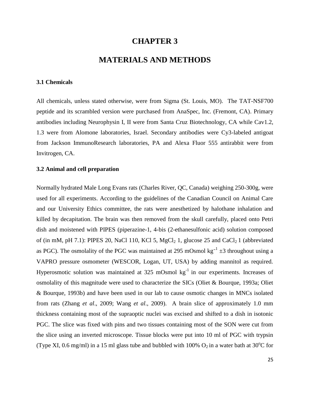### **CHAPTER 3**

### **MATERIALS AND METHODS**

#### **3.1 Chemicals**

All chemicals, unless stated otherwise, were from Sigma (St. Louis, MO). The TAT-NSF700 peptide and its scrambled version were purchased from AnaSpec, Inc. (Fremont, CA). Primary antibodies including Neurophysin I, II were from Santa Cruz Biotechnology, CA while Cav1.2, 1.3 were from Alomone laboratories, Israel. Secondary antibodies were Cy3-labeled antigoat from Jackson ImmunoResearch laboratories, PA and Alexa Fluor 555 antirabbit were from Invitrogen, CA.

#### **3.2 Animal and cell preparation**

Normally hydrated Male Long Evans rats (Charles River, QC, Canada) weighing 250-300g, were used for all experiments. According to the guidelines of the Canadian Council on Animal Care and our University Ethics committee, the rats were anesthetized by halothane inhalation and killed by decapitation. The brain was then removed from the skull carefully, placed onto Petri dish and moistened with PIPES (piperazine-1, 4-bis (2-ethanesulfonic acid) solution composed of (in mM, pH 7.1): PIPES 20, NaCl 110, KCl 5, MgCl<sub>2</sub> 1, glucose 25 and CaCl<sub>2</sub> 1 (abbreviated as PGC). The osmolality of the PGC was maintained at 295 mOsmol  $kg^{-1} \pm 3$  throughout using a VAPRO pressure osmometer (WESCOR, Logan, UT, USA) by adding mannitol as required. Hyperosmotic solution was maintained at  $325$  mOsmol kg<sup>-1</sup> in our experiments. Increases of osmolality of this magnitude were used to characterize the SICs (Oliet & Bourque, 1993a; Oliet & Bourque, 1993b) and have been used in our lab to cause osmotic changes in MNCs isolated from rats (Zhang *et al*., 2009; Wang *et al*., 2009). A brain slice of approximately 1.0 mm thickness containing most of the supraoptic nuclei was excised and shifted to a dish in isotonic PGC. The slice was fixed with pins and two tissues containing most of the SON were cut from the slice using an inverted microscope. Tissue blocks were put into 10 ml of PGC with trypsin (Type XI, 0.6 mg/ml) in a 15 ml glass tube and bubbled with 100%  $O_2$  in a water bath at 30°C for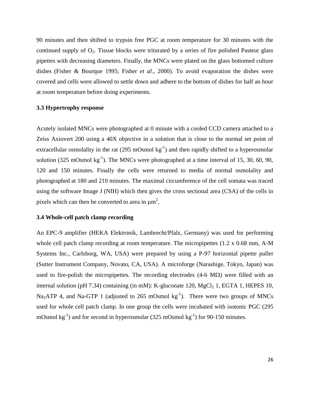90 minutes and then shifted to trypsin free PGC at room temperature for 30 minutes with the continued supply of  $O_2$ . Tissue blocks were triturated by a series of fire polished Pasteur glass pipettes with decreasing diameters. Finally, the MNCs were plated on the glass bottomed culture dishes (Fisher & Bourque 1995; Fisher *et al*., 2000). To avoid evaporation the dishes were covered and cells were allowed to settle down and adhere to the bottom of dishes for half an hour at room temperature before doing experiments.

### **3.3 Hypertrophy response**

Acutely isolated MNCs were photographed at 0 minute with a cooled CCD camera attached to a Zeiss Axiovert 200 using a 40X objective in a solution that is close to the normal set point of extracellular osmolality in the rat  $(295 \text{ mOsmol kg}^{-1})$  and then rapidly shifted to a hyperosmolar solution (325 mOsmol  $kg^{-1}$ ). The MNCs were photographed at a time interval of 15, 30, 60, 90, 120 and 150 minutes. Finally the cells were returned to media of normal osmolality and photographed at 180 and 210 minutes. The maximal circumference of the cell somata was traced using the software Image J (NIH) which then gives the cross sectional area (CSA) of the cells in pixels which can then be converted to area in  $\mu$ m<sup>2</sup>.

### **3.4 Whole-cell patch clamp recording**

An EPC-9 amplifier (HEKA Elektronik, Lambrecht/Pfalz, Germany) was used for performing whole cell patch clamp recording at room temperature. The micropipettes (1.2 x 0.68 mm, A-M Systems Inc., Carlsborg, WA, USA) were prepared by using a P-97 horizontal pipette puller (Sutter Instrument Company, Novato, CA, USA). A microforge (Narashige, Tokyo, Japan) was used to fire-polish the micropipettes. The recording electrodes  $(4-6 \text{ M}\Omega)$  were filled with an internal solution (pH 7.34) containing (in mM): K-gluconate 120, MgCl<sub>2</sub> 1, EGTA 1, HEPES 10, Na<sub>2</sub>ATP 4, and Na-GTP 1 (adjusted to 265 mOsmol  $kg^{-1}$ ). There were two groups of MNCs used for whole cell patch clamp. In one group the cells were incubated with isotonic PGC (295 mOsmol  $\text{kg}^{-1}$ ) and for second in hyperosmolar (325 mOsmol  $\text{kg}^{-1}$ ) for 90-150 minutes.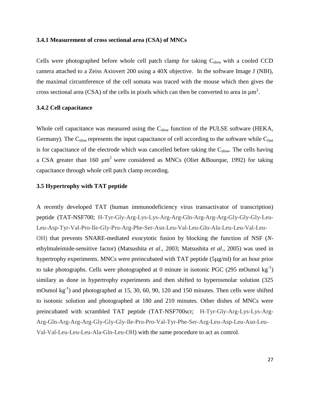### **3.4.1 Measurement of cross sectional area (CSA) of MNCs**

Cells were photographed before whole cell patch clamp for taking  $C_{slow}$  with a cooled CCD camera attached to a Zeiss Axiovert 200 using a 40X objective. In the software Image J (NIH), the maximal circumference of the cell somata was traced with the mouse which then gives the cross sectional area (CSA) of the cells in pixels which can then be converted to area in  $\mu$ m<sup>2</sup>.

### **3.4.2 Cell capacitance**

Whole cell capacitance was measured using the  $C_{slow}$  function of the PULSE software (HEKA, Germany). The  $C_{slow}$  represents the input capacitance of cell according to the software while  $C_{fast}$ is for capacitance of the electrode which was cancelled before taking the  $C_{slow}$ . The cells having a CSA greater than 160  $\mu$ m<sup>2</sup> were considered as MNCs (Oliet &Bourque, 1992) for taking capacitance through whole cell patch clamp recording.

### **3.5 Hypertrophy with TAT peptide**

A recently developed TAT (human immunodeficiency virus transactivator of transcription) peptide (TAT-NSF700; H-Tyr-Gly-Arg-Lys-Lys-Arg-Arg-Gln-Arg-Arg-Arg-Gly-Gly-Gly-Leu-Leu-Asp-Tyr-Val-Pro-Ile-Gly-Pro-Arg-Phe-Ser-Asn-Leu-Val-Leu-Gln-Ala-Leu-Leu-Val-Leu-OH) that prevents SNARE-mediated exocytotic fusion by blocking the function of NSF (*N*ethylmaleimide-sensitive factor) (Matsushita *et al*., 2003; Matsushita *et al*., 2005) was used in hypertrophy experiments. MNCs were preincubated with TAT peptide (5µg/ml) for an hour prior to take photographs. Cells were photographed at 0 minute in isotonic PGC (295 mOsmol kg<sup>-1</sup>) similary as done in hypertrophy experiments and then shifted to hyperosmolar solution (325 mOsmol  $\text{kg}^{-1}$ ) and photographed at 15, 30, 60, 90, 120 and 150 minutes. Then cells were shifted to isotonic solution and photographed at 180 and 210 minutes. Other dishes of MNCs were preincubated with scrambled TAT peptide (TAT-NSF700scr; H-Tyr-Gly-Arg-Lys-Lys-Arg-Arg-Gln-Arg-Arg-Arg-Gly-Gly-Gly-Ile-Pro-Pro-Val-Tyr-Phe-Ser-Arg-Leu-Asp-Leu-Asn-Leu-Val-Val-Leu-Leu-Leu-Ala-Gln-Leu-OH) with the same procedure to act as control.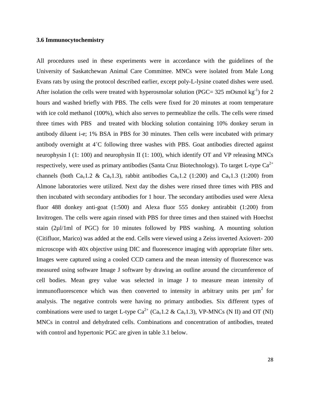### **3.6 Immunocytochemistry**

All procedures used in these experiments were in accordance with the guidelines of the University of Saskatchewan Animal Care Committee. MNCs were isolated from Male Long Evans rats by using the protocol described earlier, except poly-L-lysine coated dishes were used. After isolation the cells were treated with hyperosmolar solution (PGC= 325 mOsmol kg<sup>-1</sup>) for 2 hours and washed briefly with PBS. The cells were fixed for 20 minutes at room temperature with ice cold methanol (100%), which also serves to permeablize the cells. The cells were rinsed three times with PBS and treated with blocking solution containing 10% donkey serum in antibody diluent i-e; 1% BSA in PBS for 30 minutes. Then cells were incubated with primary antibody overnight at 4˚C following three washes with PBS. Goat antibodies directed against neurophysin I (1: 100) and neurophysin II (1: 100), which identify OT and VP releasing MNCs respectively, were used as primary antibodies (Santa Cruz Biotechnology). To target L-type  $Ca^{2+}$ channels (both Ca<sub>v</sub>1.2 & Ca<sub>v</sub>1.3), rabbit antibodies Ca<sub>v</sub>1.2 (1:200) and Ca<sub>v</sub>1.3 (1:200) from Almone laboratories were utilized. Next day the dishes were rinsed three times with PBS and then incubated with secondary antibodies for 1 hour. The secondary antibodies used were Alexa fluor 488 donkey anti-goat (1:500) and Alexa fluor 555 donkey antirabbit (1:200) from Invitrogen. The cells were again rinsed with PBS for three times and then stained with Hoechst stain (2µl/1ml of PGC) for 10 minutes followed by PBS washing. A mounting solution (Citifluor, Marico) was added at the end. Cells were viewed using a Zeiss inverted Axiovert- 200 microscope with 40X objective using DIC and fluorescence imaging with appropriate filter sets. Images were captured using a cooled CCD camera and the mean intensity of fluorescence was measured using software Image J software by drawing an outline around the circumference of cell bodies. Mean grey value was selected in image J to measure mean intensity of immunofluorescence which was then converted to intensity in arbitrary units per  $\mu m^2$  for analysis. The negative controls were having no primary antibodies. Six different types of combinations were used to target L-type  $Ca^{2+}$  (Ca<sub>v</sub>1.2 & Ca<sub>v</sub>1.3), VP-MNCs (N II) and OT (NI) MNCs in control and dehydrated cells. Combinations and concentration of antibodies, treated with control and hypertonic PGC are given in table 3.1 below.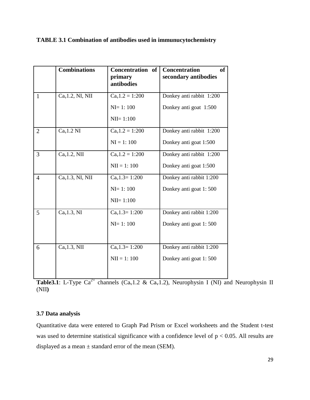### **TABLE 3.1 Combination of antibodies used in immunucytochemistry**

|                | <b>Combinations</b> | Concentration of<br>primary<br>antibodies | of<br><b>Concentration</b><br>secondary antibodies |
|----------------|---------------------|-------------------------------------------|----------------------------------------------------|
| $\mathbf{1}$   | $Cav1.2$ , NI, NII  | $Ca_v1.2 = 1:200$                         | Donkey anti rabbit 1:200                           |
|                |                     | $NI = 1:100$                              | Donkey anti goat 1:500                             |
|                |                     | $NI = 1:100$                              |                                                    |
| $\overline{2}$ | $Cav1.2$ NI         | $Ca_v1.2 = 1:200$                         | Donkey anti rabbit 1:200                           |
|                |                     | $NI = 1:100$                              | Donkey anti goat 1:500                             |
| 3              | $Cav1.2$ , NII      | $Ca_v1.2 = 1:200$                         | Donkey anti rabbit 1:200                           |
|                |                     | $NII = 1:100$                             | Donkey anti goat 1:500                             |
| $\overline{4}$ | $Cav1.3$ , NI, NII  | $Ca_v1.3 = 1:200$                         | Donkey anti rabbit 1:200                           |
|                |                     | $NI=1:100$                                | Donkey anti goat 1:500                             |
|                |                     | $NI = 1:100$                              |                                                    |
| 5              | $Ca_v1.3$ , NI      | $Ca_v1.3 = 1:200$                         | Donkey anti rabbit 1:200                           |
|                |                     | $NI=1:100$                                | Donkey anti goat 1:500                             |
|                |                     |                                           |                                                    |
| 6              | $Cav1.3$ , NII      | $Cav1.3=1:200$                            | Donkey anti rabbit 1:200                           |
|                |                     | $NII = 1:100$                             | Donkey anti goat 1:500                             |
|                |                     |                                           |                                                    |

**Table3.1**: L-Type  $Ca^{2+}$  channels ( $Ca<sub>v</sub>1.2$  &  $Ca<sub>v</sub>1.2$ ), Neurophysin I (NI) and Neurophysin II (NII**)**

### **3.7 Data analysis**

Quantitative data were entered to Graph Pad Prism or Excel worksheets and the Student t-test was used to determine statistical significance with a confidence level of  $p < 0.05$ . All results are displayed as a mean  $\pm$  standard error of the mean (SEM).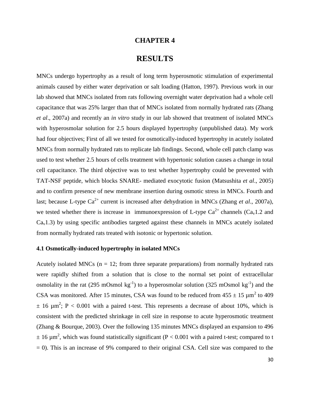### **CHAPTER 4**

## **RESULTS**

MNCs undergo hypertrophy as a result of long term hyperosmotic stimulation of experimental animals caused by either water deprivation or salt loading (Hatton, 1997). Previous work in our lab showed that MNCs isolated from rats following overnight water deprivation had a whole cell capacitance that was 25% larger than that of MNCs isolated from normally hydrated rats (Zhang *et al*., 2007a) and recently an *in vitro* study in our lab showed that treatment of isolated MNCs with hyperosmolar solution for 2.5 hours displayed hypertrophy (unpublished data). My work had four objectives; First of all we tested for osmotically-induced hypertrophy in acutely isolated MNCs from normally hydrated rats to replicate lab findings. Second, whole cell patch clamp was used to test whether 2.5 hours of cells treatment with hypertonic solution causes a change in total cell capacitance. The third objective was to test whether hypertrophy could be prevented with TAT-NSF peptide, which blocks SNARE- mediated exocytotic fusion (Matsushita *et al*., 2005) and to confirm presence of new membrane insertion during osmotic stress in MNCs. Fourth and last; because L-type  $Ca^{2+}$  current is increased after dehydration in MNCs (Zhang *et al.*, 2007a), we tested whether there is increase in immunoexpression of L-type  $Ca^{2+}$  channels ( $Ca<sub>v</sub>1.2$  and  $Ca<sub>v</sub>1.3$ ) by using specific antibodies targeted against these channels in MNCs acutely isolated from normally hydrated rats treated with isotonic or hypertonic solution.

### **4.1 Osmotically-induced hypertrophy in isolated MNCs**

Acutely isolated MNCs ( $n = 12$ ; from three separate preparations) from normally hydrated rats were rapidly shifted from a solution that is close to the normal set point of extracellular osmolality in the rat (295 mOsmol kg<sup>-1</sup>) to a hyperosmolar solution (325 mOsmol kg<sup>-1</sup>) and the CSA was monitored. After 15 minutes, CSA was found to be reduced from  $455 \pm 15 \mu m^2$  to  $409$  $\pm$  16  $\mu$ m<sup>2</sup>; P < 0.001 with a paired t-test. This represents a decrease of about 10%, which is consistent with the predicted shrinkage in cell size in response to acute hyperosmotic treatment (Zhang & Bourque, 2003). Over the following 135 minutes MNCs displayed an expansion to 496  $\pm$  16  $\mu$ m<sup>2</sup>, which was found statistically significant (P < 0.001 with a paired t-test; compared to t  $= 0$ ). This is an increase of 9% compared to their original CSA. Cell size was compared to the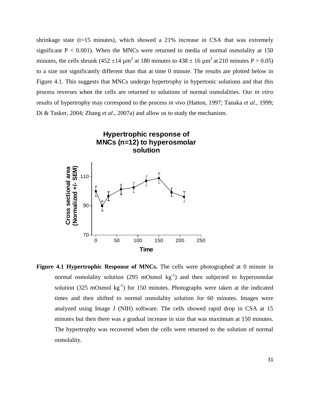shrinkage state ( $t=15$  minutes), which showed a 21% increase in CSA that was extremely significant  $P < 0.001$ ). When the MNCs were returned to media of normal osmolality at 150 minutes, the cells shrunk (452  $\pm$ 14  $\mu$ m<sup>2</sup> at 180 minutes to 438  $\pm$  16  $\mu$ m<sup>2</sup> at 210 minutes P > 0.05) to a size not significantly different than that at time 0 minute. The results are plotted below in Figure 4.1. This suggests that MNCs undergo hypertrophy in hypertonic solutions and that this process reverses when the cells are returned to solutions of normal osmolalities. Our *in vitro* results of hypertrophy may correspond to the process *in vivo* (Hatton, 1997; Tanaka *et al*., 1999; Di & Tasker, 2004; Zhang *et al*., 2007a) and allow us to study the mechanism.



**Figure 4.1 Hypertrophic Response of MNCs.** The cells were photographed at 0 minute in normal osmolality solution (295 mOsmol  $kg^{-1}$ ) and then subjected to hyperosmolar solution (325 mOsmol  $kg^{-1}$ ) for 150 minutes. Photographs were taken at the indicated times and then shifted to normal osmolality solution for 60 minutes. Images were analyzed using Image J (NIH) software. The cells showed rapid drop in CSA at 15 minutes but then there was a gradual increase in size that was maximum at 150 minutes. The hypertrophy was recovered when the cells were returned to the solution of normal osmolality.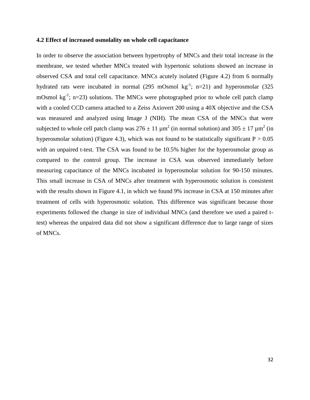#### **4.2 Effect of increased osmolality on whole cell capacitance**

In order to observe the association between hypertrophy of MNCs and their total increase in the membrane, we tested whether MNCs treated with hypertonic solutions showed an increase in observed CSA and total cell capacitance. MNCs acutely isolated (Figure 4.2) from 6 normally hydrated rats were incubated in normal (295 mOsmol  $kg^{-1}$ ; n=21) and hyperosmolar (325 mOsmol  $kg^{-1}$ ; n=23) solutions. The MNCs were photographed prior to whole cell patch clamp with a cooled CCD camera attached to a Zeiss Axiovert 200 using a 40X objective and the CSA was measured and analyzed using Image J (NIH). The mean CSA of the MNCs that were subjected to whole cell patch clamp was  $276 \pm 11 \mu m^2$  (in normal solution) and  $305 \pm 17 \mu m^2$  (in hyperosmolar solution) (Figure 4.3), which was not found to be statistically significant  $P > 0.05$ with an unpaired t-test. The CSA was found to be 10.5% higher for the hyperosmolar group as compared to the control group. The increase in CSA was observed immediately before measuring capacitance of the MNCs incubated in hyperosmolar solution for 90-150 minutes. This small increase in CSA of MNCs after treatment with hyperosmotic solution is consistent with the results shown in Figure 4.1, in which we found 9% increase in CSA at 150 minutes after treatment of cells with hyperosmotic solution. This difference was significant because those experiments followed the change in size of individual MNCs (and therefore we used a paired ttest) whereas the unpaired data did not show a significant difference due to large range of sizes of MNCs.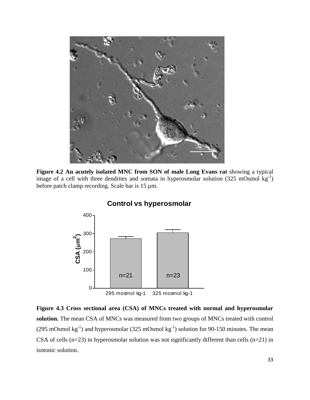

**Figure 4.2 An acutely isolated MNC from SON of male Long Evans rat** showing a typical image of a cell with three dendrites and somata in hyperosmolar solution  $(325 \text{ mOsmol kg}^{-1})$ before patch clamp recording. Scale bar is 15 µm.



# **Control vs hyperosmolar**

**Figure 4.3 Cross sectional area (CSA) of MNCs treated with normal and hyperosmolar solution.** The mean CSA of MNCs was measured from two groups of MNCs treated with control (295 mOsmol  $kg^{-1}$ ) and hyperosmolar (325 mOsmol  $kg^{-1}$ ) solution for 90-150 minutes. The mean CSA of cells  $(n=23)$  in hyperosmolar solution was not significantly different than cells  $(n=21)$  in isotonic solution.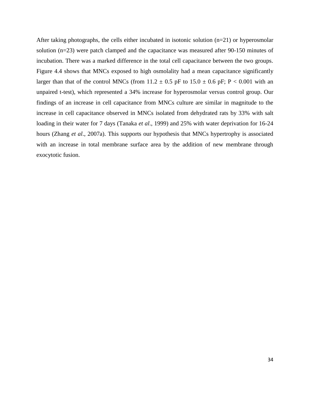After taking photographs, the cells either incubated in isotonic solution  $(n=21)$  or hyperosmolar solution (n=23) were patch clamped and the capacitance was measured after 90-150 minutes of incubation. There was a marked difference in the total cell capacitance between the two groups. Figure 4.4 shows that MNCs exposed to high osmolality had a mean capacitance significantly larger than that of the control MNCs (from  $11.2 \pm 0.5$  pF to  $15.0 \pm 0.6$  pF; P < 0.001 with an unpaired t-test), which represented a 34% increase for hyperosmolar versus control group. Our findings of an increase in cell capacitance from MNCs culture are similar in magnitude to the increase in cell capacitance observed in MNCs isolated from dehydrated rats by 33% with salt loading in their water for 7 days (Tanaka *et al*., 1999) and 25% with water deprivation for 16-24 hours (Zhang *et al*., 2007a). This supports our hypothesis that MNCs hypertrophy is associated with an increase in total membrane surface area by the addition of new membrane through exocytotic fusion.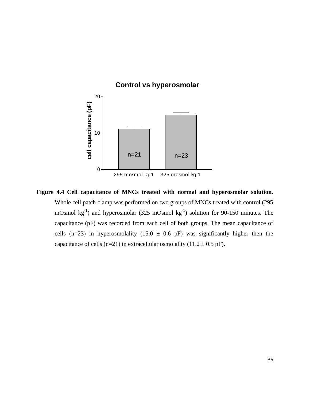

### **Control vs hyperosmolar**

**Figure 4.4 Cell capacitance of MNCs treated with normal and hyperosmolar solution.**  Whole cell patch clamp was performed on two groups of MNCs treated with control (295 mOsmol  $kg^{-1}$ ) and hyperosmolar (325 mOsmol  $kg^{-1}$ ) solution for 90-150 minutes. The capacitance (pF) was recorded from each cell of both groups. The mean capacitance of cells (n=23) in hyperosmolality (15.0  $\pm$  0.6 pF) was significantly higher then the capacitance of cells (n=21) in extracellular osmolality (11.2  $\pm$  0.5 pF).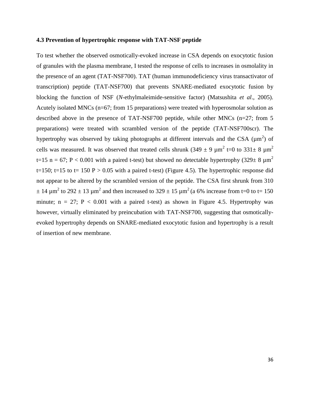#### **4.3 Prevention of hypertrophic response with TAT-NSF peptide**

To test whether the observed osmotically-evoked increase in CSA depends on exocytotic fusion of granules with the plasma membrane, I tested the response of cells to increases in osmolality in the presence of an agent (TAT-NSF700). TAT (human immunodeficiency virus transactivator of transcription) peptide (TAT-NSF700) that prevents SNARE-mediated exocytotic fusion by blocking the function of NSF (*N-*ethylmaleimide-sensitive factor) (Matsushita *et al*., 2005). Acutely isolated MNCs (n=67; from 15 preparations) were treated with hyperosmolar solution as described above in the presence of TAT-NSF700 peptide, while other MNCs (n=27; from 5 preparations) were treated with scrambled version of the peptide (TAT-NSF700scr). The hypertrophy was observed by taking photographs at different intervals and the CSA ( $\mu$ m<sup>2</sup>) of cells was measured. It was observed that treated cells shrunk (349  $\pm$  9  $\mu$ m<sup>2</sup> t=0 to 331 $\pm$  8  $\mu$ m<sup>2</sup> t=15 n = 67; P < 0.001 with a paired t-test) but showed no detectable hypertrophy (329 $\pm$  8  $\mu$ m<sup>2</sup>) t=150; t=15 to t= 150 P > 0.05 with a paired t-test) (Figure 4.5). The hypertrophic response did not appear to be altered by the scrambled version of the peptide. The CSA first shrunk from 310  $\pm$  14  $\mu$ m<sup>2</sup> to 292  $\pm$  13  $\mu$ m<sup>2</sup> and then increased to 329  $\pm$  15  $\mu$ m<sup>2</sup> (a 6% increase from t=0 to t= 150 minute;  $n = 27$ ;  $P < 0.001$  with a paired t-test) as shown in Figure 4.5. Hypertrophy was however, virtually eliminated by preincubation with TAT-NSF700, suggesting that osmoticallyevoked hypertrophy depends on SNARE-mediated exocytotic fusion and hypertrophy is a result of insertion of new membrane.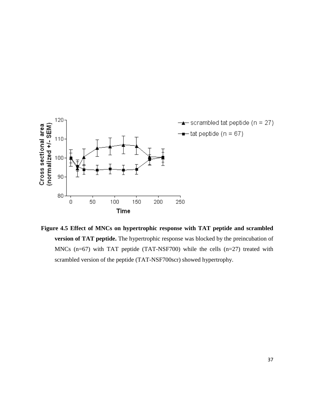

 **Figure 4.5 Effect of MNCs on hypertrophic response with TAT peptide and scrambled version of TAT peptide.** The hypertrophic response was blocked by the preincubation of MNCs (n=67) with TAT peptide (TAT-NSF700) while the cells (n=27) treated with scrambled version of the peptide (TAT-NSF700scr) showed hypertrophy.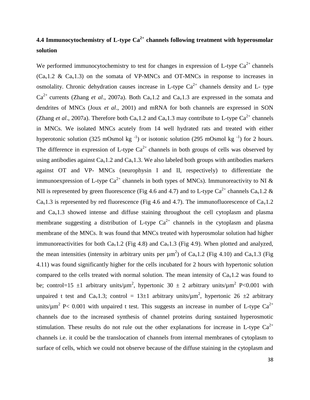# **4.4 Immunocytochemistry of L-type Ca2+ channels following treatment with hyperosmolar solution**

We performed immunocytochemistry to test for changes in expression of L-type  $Ca^{2+}$  channels  $(Ca<sub>v</sub>1.2 \& Ca<sub>v</sub>1.3)$  on the somata of VP-MNCs and OT-MNCs in response to increases in osmolality. Chronic dehydration causes increase in L-type  $Ca^{2+}$  channels density and L- type  $Ca^{2+}$  currents (Zhang *et al.*, 2007a). Both  $Ca_v1.2$  and  $Ca_v1.3$  are expressed in the somata and dendrites of MNCs (Joux *et al*., 2001) and mRNA for both channels are expressed in SON (Zhang *et al.*, 2007a). Therefore both  $Ca<sub>v</sub>1.2$  and  $Ca<sub>v</sub>1.3$  may contribute to L-type  $Ca<sup>2+</sup>$  channels in MNCs. We isolated MNCs acutely from 14 well hydrated rats and treated with either hyperotonic solution (325 mOsmol kg<sup>-1</sup>) or isotonic solution (295 mOsmol kg<sup>-1</sup>) for 2 hours. The difference in expression of L-type  $Ca^{2+}$  channels in both groups of cells was observed by using antibodies against  $Ca<sub>v</sub>1.2$  and  $Ca<sub>v</sub>1.3$ . We also labeled both groups with antibodies markers against OT and VP- MNCs (neurophysin I and II, respectively) to differentiate the immunoexpression of L-type  $Ca^{2+}$  channels in both types of MNCs). Immunoreactivity to NI & NII is represented by green fluorescence (Fig 4.6 and 4.7) and to L-type  $Ca^{2+}$  channels  $Ca_v1.2 \&$  $Ca<sub>v</sub>1.3$  is represented by red fluorescence (Fig 4.6 and 4.7). The immunofluorescence of  $Ca<sub>v</sub>1.2$ and  $Ca<sub>v</sub>1.3$  showed intense and diffuse staining throughout the cell cytoplasm and plasma membrane suggesting a distribution of L-type  $Ca^{2+}$  channels in the cytoplasm and plasma membrane of the MNCs. It was found that MNCs treated with hyperosmolar solution had higher immunoreactivities for both  $Ca<sub>v</sub>1.2$  (Fig 4.8) and  $Ca<sub>v</sub>1.3$  (Fig 4.9). When plotted and analyzed, the mean intensities (intensity in arbitrary units per  $\mu$ m<sup>2</sup>) of Ca<sub>v</sub>1.2 (Fig 4.10) and Ca<sub>v</sub>1.3 (Fig 4.11) was found significantly higher for the cells incubated for 2 hours with hypertonic solution compared to the cells treated with normal solution. The mean intensity of  $Ca<sub>v</sub>1.2$  was found to be; control=15  $\pm$ 1 arbitrary units/ $\mu$ m<sup>2</sup>, hypertonic 30  $\pm$  2 arbitrary units/ $\mu$ m<sup>2</sup> P<0.001 with unpaired t test and Ca<sub>v</sub>1.3; control = 13 $\pm$ 1 arbitrary units/ $\mu$ m<sup>2</sup>, hypertonic 26  $\pm$ 2 arbitrary units/ $\mu$ m<sup>2</sup> P< 0.001 with unpaired t test. This suggests an increase in number of L-type Ca<sup>2+</sup> channels due to the increased synthesis of channel proteins during sustained hyperosmotic stimulation. These results do not rule out the other explanations for increase in L-type  $Ca^{2+}$ channels i.e. it could be the translocation of channels from internal membranes of cytoplasm to surface of cells, which we could not observe because of the diffuse staining in the cytoplasm and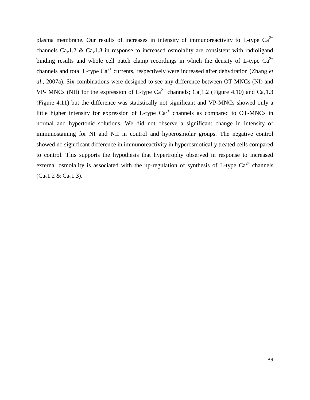plasma membrane. Our results of increases in intensity of immunoreactivity to L-type  $Ca^{2+}$ channels  $Ca<sub>v</sub>1.2 \& Ca<sub>v</sub>1.3$  in response to increased osmolality are consistent with radioligand binding results and whole cell patch clamp recordings in which the density of L-type  $Ca^{2+}$ channels and total L-type Ca<sup>2+</sup> currents, respectively were increased after dehydration (Zhang *et al*., 2007a). Six combinations were designed to see any difference between OT MNCs (NI) and VP- MNCs (NII) for the expression of L-type  $Ca^{2+}$  channels;  $Ca_v1.2$  (Figure 4.10) and  $Ca_v1.3$ (Figure 4.11) but the difference was statistically not significant and VP-MNCs showed only a little higher intensity for expression of L-type  $Ca^{2+}$  channels as compared to OT-MNCs in normal and hypertonic solutions. We did not observe a significant change in intensity of immunostaining for NI and NII in control and hyperosmolar groups. The negative control showed no significant difference in immunoreactivity in hyperosmotically treated cells compared to control. This supports the hypothesis that hypertrophy observed in response to increased external osmolality is associated with the up-regulation of synthesis of L-type  $Ca^{2+}$  channels  $(Ca_v1.2 \& Ca_v1.3)$ .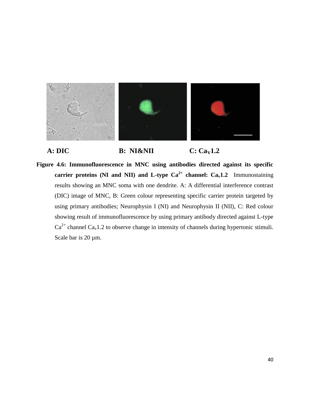

**A: DIC B: NI&NII C:** Ca<sub>V</sub>1.2

**Figure 4.6: Immunofluorescence in MNC using antibodies directed against its specific carrier proteins (NI and NII) and L-type**  $Ca^{2+}$  **<b>channel:**  $Ca_v1.2$  Immunostaining results showing an MNC soma with one dendrite. A: A differential interference contrast (DIC) image of MNC, B: Green colour representing specific carrier protein targeted by using primary antibodies; Neurophysin I (NI) and Neurophysin II (NII), C: Red colour showing result of immunofluorescence by using primary antibody directed against L-type  $Ca^{2+}$  channel  $Ca_v1.2$  to observe change in intensity of channels during hypertonic stimuli. Scale bar is 20  $\mu$ m.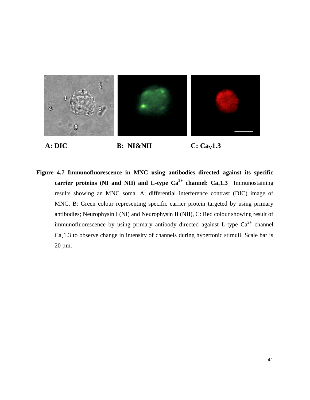

**A: DIC B: NI&NII C: Ca**<sub>V</sub>1.3

**Figure 4.7 Immunofluorescence in MNC using antibodies directed against its specific carrier proteins (NI and NII) and L-type**  $Ca^{2+}$  **<b>channel:**  $Ca_v1.3$  Immunostaining results showing an MNC soma. A: differential interference contrast (DIC) image of MNC, B: Green colour representing specific carrier protein targeted by using primary antibodies; Neurophysin I (NI) and Neurophysin II (NII), C: Red colour showing result of immunofluorescence by using primary antibody directed against L-type  $Ca^{2+}$  channel  $Ca<sub>v</sub>1.3$  to observe change in intensity of channels during hypertonic stimuli. Scale bar is 20 µm.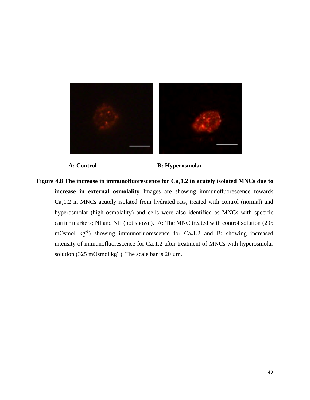

**A: Control B: Hyperosmolar** 

**Figure 4.8** The increase in immunofluorescence for  $Ca<sub>v</sub>1.2$  in acutely isolated MNCs due to **increase in external osmolality** Images are showing immunofluorescence towards  $Ca<sub>v</sub>1.2$  in MNCs acutely isolated from hydrated rats, treated with control (normal) and hyperosmolar (high osmolality) and cells were also identified as MNCs with specific carrier markers; NI and NII (not shown). A: The MNC treated with control solution (295 mOsmol  $kg^{-1}$ ) showing immunofluorescence for Ca<sub>v</sub>1.2 and B: showing increased intensity of immunofluorescence for  $Ca<sub>v</sub>1.2$  after treatment of MNCs with hyperosmolar solution (325 mOsmol  $kg^{-1}$ ). The scale bar is 20  $\mu$ m.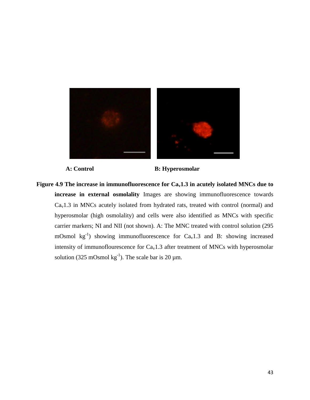



A: Control B: Hyperosmolar

**Figure 4.9 The increase in immunofluorescence for Cav1.3 in acutely isolated MNCs due to increase in external osmolality** Images are showing immunofluorescence towards  $Ca<sub>v</sub>1.3$  in MNCs acutely isolated from hydrated rats, treated with control (normal) and hyperosmolar (high osmolality) and cells were also identified as MNCs with specific carrier markers; NI and NII (not shown). A: The MNC treated with control solution (295 mOsmol  $kg^{-1}$ ) showing immunofluorescence for Ca<sub>v</sub>1.3 and B: showing increased intensity of immunoflourescence for  $Ca<sub>v</sub>1.3$  after treatment of MNCs with hyperosmolar solution (325 mOsmol  $kg^{-1}$ ). The scale bar is 20  $\mu$ m.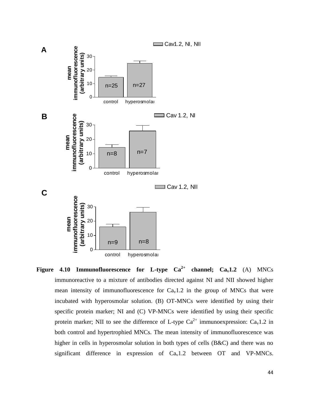

**Figure 4.10 Immunofluorescence for L-type**  $Ca^{2+}$  **channel;**  $Ca_v1.2$  **(A) MNCs** immunoreactive to a mixture of antibodies directed against NI and NII showed higher mean intensity of immunofluorescence for  $Ca<sub>v</sub>1.2$  in the group of MNCs that were incubated with hyperosmolar solution. (B) OT-MNCs were identified by using their specific protein marker; NI and (C) VP-MNCs were identified by using their specific protein marker; NII to see the difference of L-type  $Ca^{2+}$  immunoexpression:  $Ca_v1.2$  in both control and hypertrophied MNCs. The mean intensity of immunofluorescence was higher in cells in hyperosmolar solution in both types of cells (B&C) and there was no significant difference in expression of  $Ca<sub>v</sub>1.2$  between OT and VP-MNCs.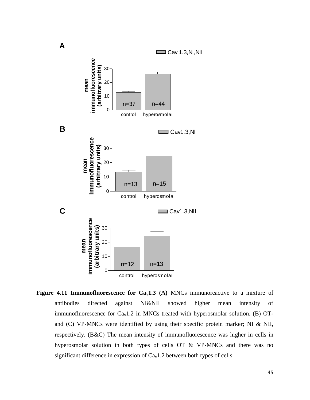

**Figure** 4.11 **Immunofluorescence for**  $Ca<sub>v</sub>1.3$  **(A)** MNCs immunoreactive to a mixture of antibodies directed against NI&NII showed higher mean intensity of immunofluorescence for  $Ca<sub>v</sub>1.2$  in MNCs treated with hyperosmolar solution. (B) OTand (C) VP-MNCs were identified by using their specific protein marker; NI & NII, respectively. (B&C) The mean intensity of immunofluorescence was higher in cells in hyperosmolar solution in both types of cells OT & VP-MNCs and there was no significant difference in expression of  $Ca<sub>v</sub>1.2$  between both types of cells.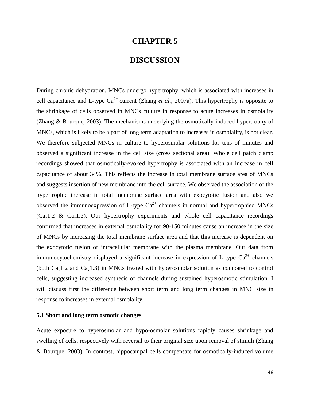## **CHAPTER 5**

# **DISCUSSION**

During chronic dehydration, MNCs undergo hypertrophy, which is associated with increases in cell capacitance and L-type  $Ca^{2+}$  current (Zhang *et al.*, 2007a). This hypertrophy is opposite to the shrinkage of cells observed in MNCs culture in response to acute increases in osmolality (Zhang & Bourque, 2003). The mechanisms underlying the osmotically-induced hypertrophy of MNCs, which is likely to be a part of long term adaptation to increases in osmolality, is not clear. We therefore subjected MNCs in culture to hyperosmolar solutions for tens of minutes and observed a significant increase in the cell size (cross sectional area). Whole cell patch clamp recordings showed that osmotically-evoked hypertrophy is associated with an increase in cell capacitance of about 34%. This reflects the increase in total membrane surface area of MNCs and suggests insertion of new membrane into the cell surface. We observed the association of the hypertrophic increase in total membrane surface area with exocytotic fusion and also we observed the immunoexpression of L-type  $Ca^{2+}$  channels in normal and hypertrophied MNCs  $(Ca<sub>v</sub>1.2 \& Ca<sub>v</sub>1.3)$ . Our hypertrophy experiments and whole cell capacitance recordings confirmed that increases in external osmolality for 90-150 minutes cause an increase in the size of MNCs by increasing the total membrane surface area and that this increase is dependent on the exocytotic fusion of intracellular membrane with the plasma membrane. Our data from immunocytochemistry displayed a significant increase in expression of L-type  $Ca^{2+}$  channels (both  $Ca<sub>v</sub>1.2$  and  $Ca<sub>v</sub>1.3$ ) in MNCs treated with hyperosmolar solution as compared to control cells, suggesting increased synthesis of channels during sustained hyperosmotic stimulation. I will discuss first the difference between short term and long term changes in MNC size in response to increases in external osmolality.

### **5.1 Short and long term osmotic changes**

Acute exposure to hyperosmolar and hypo-osmolar solutions rapidly causes shrinkage and swelling of cells, respectively with reversal to their original size upon removal of stimuli (Zhang & Bourque, 2003). In contrast, hippocampal cells compensate for osmotically-induced volume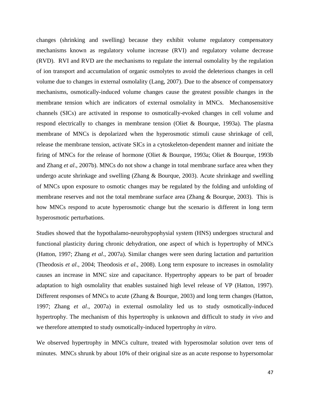changes (shrinking and swelling) because they exhibit volume regulatory compensatory mechanisms known as regulatory volume increase (RVI) and regulatory volume decrease (RVD). RVI and RVD are the mechanisms to regulate the internal osmolality by the regulation of ion transport and accumulation of organic osmolytes to avoid the deleterious changes in cell volume due to changes in external osmolality (Lang, 2007). Due to the absence of compensatory mechanisms, osmotically-induced volume changes cause the greatest possible changes in the membrane tension which are indicators of external osmolality in MNCs. Mechanosensitive channels (SICs) are activated in response to osmotically-evoked changes in cell volume and respond electrically to changes in membrane tension (Oliet & Bourque, 1993a). The plasma membrane of MNCs is depolarized when the hyperosmotic stimuli cause shrinkage of cell, release the membrane tension, activate SICs in a cytoskeleton-dependent manner and initiate the firing of MNCs for the release of hormone (Oliet & Bourque, 1993a; Oliet & Bourque, 1993b and Zhang *et al*., 2007b). MNCs do not show a change in total membrane surface area when they undergo acute shrinkage and swelling (Zhang & Bourque, 2003). Acute shrinkage and swelling of MNCs upon exposure to osmotic changes may be regulated by the folding and unfolding of membrane reserves and not the total membrane surface area (Zhang & Bourque, 2003). This is how MNCs respond to acute hyperosmotic change but the scenario is different in long term hyperosmotic perturbations.

Studies showed that the hypothalamo-neurohypophysial system (HNS) undergoes structural and functional plasticity during chronic dehydration, one aspect of which is hypertrophy of MNCs (Hatton, 1997; Zhang *et al*., 2007a). Similar changes were seen during lactation and parturition (Theodosis *et al*., 2004; Theodosis *et al*., 2008). Long term exposure to increases in osmolality causes an increase in MNC size and capacitance. Hypertrophy appears to be part of broader adaptation to high osmolality that enables sustained high level release of VP (Hatton, 1997). Different responses of MNCs to acute (Zhang & Bourque, 2003) and long term changes (Hatton, 1997; Zhang *et al*., 2007a) in external osmolality led us to study osmotically-induced hypertrophy. The mechanism of this hypertrophy is unknown and difficult to study *in vivo* and we therefore attempted to study osmotically-induced hypertrophy *in vitro*.

We observed hypertrophy in MNCs culture, treated with hyperosmolar solution over tens of minutes. MNCs shrunk by about 10% of their original size as an acute response to hypersomolar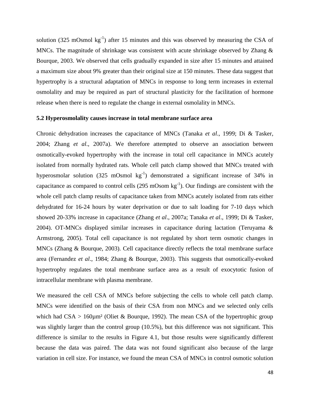solution (325 mOsmol  $kg^{-1}$ ) after 15 minutes and this was observed by measuring the CSA of MNCs. The magnitude of shrinkage was consistent with acute shrinkage observed by Zhang & Bourque, 2003. We observed that cells gradually expanded in size after 15 minutes and attained a maximum size about 9% greater than their original size at 150 minutes. These data suggest that hypertrophy is a structural adaptation of MNCs in response to long term increases in external osmolality and may be required as part of structural plasticity for the facilitation of hormone release when there is need to regulate the change in external osmolality in MNCs.

### **5.2 Hyperosmolality causes increase in total membrane surface area**

Chronic dehydration increases the capacitance of MNCs (Tanaka *et al*., 1999; Di & Tasker, 2004; Zhang *et al*., 2007a). We therefore attempted to observe an association between osmotically-evoked hypertrophy with the increase in total cell capacitance in MNCs acutely isolated from normally hydrated rats. Whole cell patch clamp showed that MNCs treated with hyperosmolar solution (325 mOsmol  $kg^{-1}$ ) demonstrated a significant increase of 34% in capacitance as compared to control cells (295 mOsom  $kg^{-1}$ ). Our findings are consistent with the whole cell patch clamp results of capacitance taken from MNCs acutely isolated from rats either dehydrated for 16-24 hours by water deprivation or due to salt loading for 7-10 days which showed 20-33% increase in capacitance (Zhang *et al*., 2007a; Tanaka *et al*., 1999; Di & Tasker, 2004). OT-MNCs displayed similar increases in capacitance during lactation (Teruyama & Armstrong, 2005). Total cell capacitance is not regulated by short term osmotic changes in MNCs (Zhang & Bourque, 2003). Cell capacitance directly reflects the total membrane surface area (Fernandez *et al*., 1984; Zhang & Bourque, 2003). This suggests that osmotically-evoked hypertrophy regulates the total membrane surface area as a result of exocytotic fusion of intracellular membrane with plasma membrane.

We measured the cell CSA of MNCs before subjecting the cells to whole cell patch clamp. MNCs were identified on the basis of their CSA from non MNCs and we selected only cells which had  $CSA > 160 \mu m^2$  (Oliet & Bourque, 1992). The mean CSA of the hypertrophic group was slightly larger than the control group (10.5%), but this difference was not significant. This difference is similar to the results in Figure 4.1, but those results were significantly different because the data was paired. The data was not found significant also because of the large variation in cell size. For instance, we found the mean CSA of MNCs in control osmotic solution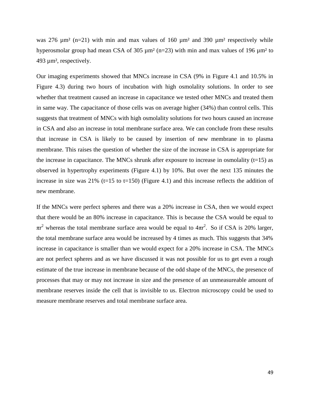was 276  $\mu$ m<sup>2</sup> (n=21) with min and max values of 160  $\mu$ m<sup>2</sup> and 390  $\mu$ m<sup>2</sup> respectively while hyperosmolar group had mean CSA of 305  $\mu$ m<sup>2</sup> (n=23) with min and max values of 196  $\mu$ m<sup>2</sup> to 493 µm², respectively.

Our imaging experiments showed that MNCs increase in CSA (9% in Figure 4.1 and 10.5% in Figure 4.3) during two hours of incubation with high osmolality solutions. In order to see whether that treatment caused an increase in capacitance we tested other MNCs and treated them in same way. The capacitance of those cells was on average higher (34%) than control cells. This suggests that treatment of MNCs with high osmolality solutions for two hours caused an increase in CSA and also an increase in total membrane surface area. We can conclude from these results that increase in CSA is likely to be caused by insertion of new membrane in to plasma membrane. This raises the question of whether the size of the increase in CSA is appropriate for the increase in capacitance. The MNCs shrunk after exposure to increase in osmolality  $(t=15)$  as observed in hypertrophy experiments (Figure 4.1) by 10%. But over the next 135 minutes the increase in size was  $21\%$  (t=15 to t=150) (Figure 4.1) and this increase reflects the addition of new membrane.

If the MNCs were perfect spheres and there was a 20% increase in CSA, then we would expect that there would be an 80% increase in capacitance. This is because the CSA would be equal to  $\pi r^2$  whereas the total membrane surface area would be equal to  $4\pi r^2$ . So if CSA is 20% larger, the total membrane surface area would be increased by 4 times as much. This suggests that 34% increase in capacitance is smaller than we would expect for a 20% increase in CSA. The MNCs are not perfect spheres and as we have discussed it was not possible for us to get even a rough estimate of the true increase in membrane because of the odd shape of the MNCs, the presence of processes that may or may not increase in size and the presence of an unmeasureable amount of membrane reserves inside the cell that is invisible to us. Electron microscopy could be used to measure membrane reserves and total membrane surface area.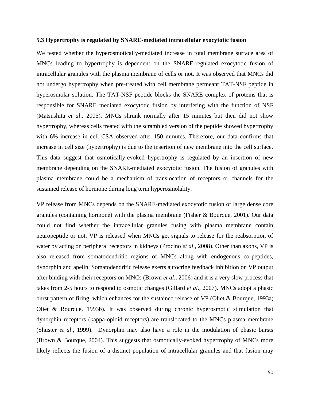#### **5.3 Hypertrophy is regulated by SNARE-mediated intracellular exocytotic fusion**

We tested whether the hyperosmotically-mediated increase in total membrane surface area of MNCs leading to hypertrophy is dependent on the SNARE-regulated exocytotic fusion of intracellular granules with the plasma membrane of cells or not. It was observed that MNCs did not undergo hypertrophy when pre-treated with cell membrane permeant TAT-NSF peptide in hyperosmolar solution. The TAT-NSF peptide blocks the SNARE complex of proteins that is responsible for SNARE mediated exocytotic fusion by interfering with the function of NSF (Matsushita *et al*., 2005). MNCs shrunk normally after 15 minutes but then did not show hypertrophy, whereas cells treated with the scrambled version of the peptide showed hypertrophy with 6% increase in cell CSA observed after 150 minutes. Therefore, our data confirms that increase in cell size (hypertrophy) is due to the insertion of new membrane into the cell surface. This data suggest that osmotically-evoked hypertrophy is regulated by an insertion of new membrane depending on the SNARE-mediated exocytotic fusion. The fusion of granules with plasma membrane could be a mechanism of translocation of receptors or channels for the sustained release of hormone during long term hyperosmolality.

VP release from MNCs depends on the SNARE-mediated exocytotic fusion of large dense core granules (containing hormone) with the plasma membrane (Fisher & Bourque, 2001). Our data could not find whether the intracellular granules fusing with plasma membrane contain neuropeptide or not. VP is released when MNCs get signals to release for the reabsorption of water by acting on peripheral receptors in kidneys (Procino *et al*., 2008). Other than axons, VP is also released from somatodendritic regions of MNCs along with endogenous co-peptides, dynorphin and apelin. Somatodendritic release exerts autocrine feedback inhibition on VP output after binding with their receptors on MNCs (Brown *et al*., 2006) and it is a very slow process that takes from 2-5 hours to respond to osmotic changes (Gillard *et al*., 2007). MNCs adopt a phasic burst pattern of firing, which enhances for the sustained release of VP (Oliet & Bourque, 1993a; Oliet & Bourque, 1993b). It was observed during chronic hyperosmotic stimulation that dynorphin receptors (kappa-opioid receptors) are translocated to the MNCs plasma membrane (Shuster *et al*., 1999). Dynorphin may also have a role in the modulation of phasic bursts (Brown & Bourque, 2004). This suggests that osmotically-evoked hypertrophy of MNCs more likely reflects the fusion of a distinct population of intracellular granules and that fusion may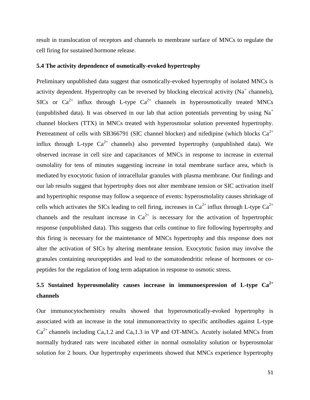result in translocation of receptors and channels to membrane surface of MNCs to regulate the cell firing for sustained hormone release.

### **5.4 The activity dependence of osmotically-evoked hypertrophy**

Preliminary unpublished data suggest that osmotically-evoked hypertrophy of isolated MNCs is activity dependent. Hypertrophy can be reversed by blocking electrical activity ( $Na<sup>+</sup>$  channels), SICs or  $Ca^{2+}$  influx through L-type  $Ca^{2+}$  channels in hyperosmotically treated MNCs (unpublished data). It was observed in our lab that action potentials preventing by using  $Na<sup>+</sup>$ channel blockers (TTX) in MNCs treated with hyperosmolar solution prevented hypertrophy. Pretreatment of cells with SB366791 (SIC channel blocker) and nifedipine (which blocks  $Ca^{2+}$ influx through L-type  $Ca^{2+}$  channels) also prevented hypertrophy (unpublished data). We observed increase in cell size and capacitances of MNCs in response to increase in external osmolality for tens of minutes suggesting increase in total membrane surface area, which is mediated by exocytotic fusion of intracellular granules with plasma membrane. Our findings and our lab results suggest that hypertrophy does not alter membrane tension or SIC activation itself and hypertrophic response may follow a sequence of events: hyperosmolality causes shrinkage of cells which activates the SICs leading to cell firing, increases in  $Ca^{2+}$  influx through L-type  $Ca^{2+}$ channels and the resultant increase in  $Ca^{2+}$  is necessary for the activation of hypertrophic response (unpublished data). This suggests that cells continue to fire following hypertrophy and this firing is necessary for the maintenance of MNCs hypertrophy and this response does not alter the activation of SICs by altering membrane tension. Exocytotic fusion may involve the granules containing neuropeptides and lead to the somatodendritic release of hormones or copeptides for the regulation of long term adaptation in response to osmotic stress.

# **5.5 Sustained hyperosmolality causes increase in immunoexpression of L-type Ca2+ channels**

Our immunocytochemistry results showed that hyperosmotically-evoked hypertrophy is associated with an increase in the total immunoreactivity to specific antibodies against L-type  $Ca^{2+}$  channels including  $Ca_v1.2$  and  $Ca_v1.3$  in VP and OT-MNCs. Acutely isolated MNCs from normally hydrated rats were incubated either in normal osmolality solution or hyperosmolar solution for 2 hours. Our hypertrophy experiments showed that MNCs experience hypertrophy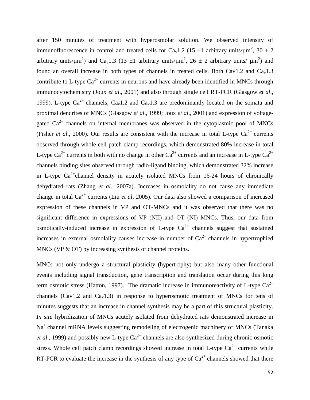after 150 minutes of treatment with hyperosmolar solution. We observed intensity of immunofluorescence in control and treated cells for Ca<sub>v</sub>1.2 (15  $\pm$ 1 arbitrary units/ $\mu$ m<sup>2</sup>, 30  $\pm$  2 arbitrary units/ $\mu$ m<sup>2</sup>) and Ca<sub>v</sub>1.3 (13 ±1 arbitrary units/ $\mu$ m<sup>2</sup>, 26 ± 2 arbitrary units/  $\mu$ m<sup>2</sup>) and found an overall increase in both types of channels in treated cells. Both Cav1.2 and Ca<sub>v</sub>1.3 contribute to L-type  $Ca^{2+}$  currents in neurons and have already been identified in MNCs through immunocytochemistry (Joux *et al*., 2001) and also through single cell RT-PCR (Glasgow *et al*., 1999). L-type  $Ca^{2+}$  channels;  $Ca_v1.2$  and  $Ca_v1.3$  are predominantly located on the somata and proximal dendrites of MNCs (Glasgow *et al*., 1999; Joux *et al*., 2001) and expression of voltagegated  $Ca<sup>2+</sup>$  channels on internal membranes was observed in the cytoplasmic pool of MNCs (Fisher *et al.*, 2000). Our results are consistent with the increase in total L-type  $Ca^{2+}$  currents observed through whole cell patch clamp recordings, which demonstrated 80% increase in total L-type  $Ca^{2+}$  currents in both with no change in other  $Ca^{2+}$  currents and an increase in L-type  $Ca^{2+}$ channels binding sites observed through radio-ligand binding, which demonstrated 32% increase in L-type  $Ca^{2+}$ channel density in acutely isolated MNCs from 16-24 hours of chronically dehydrated rats (Zhang *et al*., 2007a). Increases in osmolality do not cause any immediate change in total Ca2+ currents (Liu *et al*, 2005). Our data also showed a comparison of increased expression of these channels in VP and OT-MNCs and it was observed that there was no significant difference in expressions of VP (NII) and OT (NI) MNCs. Thus, our data from osmotically-induced increase in expression of L-type  $Ca^{2+}$  channels suggest that sustained increases in external osmolality causes increase in number of  $Ca^{2+}$  channels in hypertrophied MNCs (VP & OT) by increasing synthesis of channel proteins.

MNCs not only undergo a structural plasticity (hypertrophy) but also many other functional events including signal transduction, gene transcription and translation occur during this long term osmotic stress (Hatton, 1997). The dramatic increase in immunoreactivity of L-type  $Ca^{2+}$ channels (Cav1.2 and Ca<sub>v</sub>1.3) in response to hyperosmotic treatment of MNCs for tens of minutes suggests that an increase in channel synthesis may be a part of this structural plasticity. *In situ* hybridization of MNCs acutely isolated from dehydrated rats demonstrated increase in  $Na<sup>+</sup>$  channel mRNA levels suggesting remodeling of electrogenic machinery of MNCs (Tanaka *et al.*, 1999) and possibly new L-type  $Ca^{2+}$  channels are also synthesized during chronic osmotic stress. Whole cell patch clamp recordings showed increase in total L-type  $Ca^{2+}$  currents while RT-PCR to evaluate the increase in the synthesis of any type of  $Ca^{2+}$  channels showed that there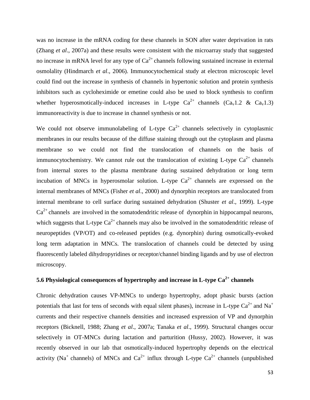was no increase in the mRNA coding for these channels in SON after water deprivation in rats (Zhang *et al*., 2007a) and these results were consistent with the microarray study that suggested no increase in mRNA level for any type of  $Ca^{2+}$  channels following sustained increase in external osmolality (Hindmarch *et al*., 2006). Immunocytochemical study at electron microscopic level could find out the increase in synthesis of channels in hypertonic solution and protein synthesis inhibitors such as cycloheximide or emetine could also be used to block synthesis to confirm whether hyperosmotically-induced increases in L-type  $Ca^{2+}$  channels  $(Ca_v1.2 \& Ca_v1.3)$ immunoreactivity is due to increase in channel synthesis or not.

We could not observe immunolabeling of L-type  $Ca^{2+}$  channels selectively in cytoplasmic membranes in our results because of the diffuse staining through out the cytoplasm and plasma membrane so we could not find the translocation of channels on the basis of immunocytochemistry. We cannot rule out the translocation of existing L-type  $Ca^{2+}$  channels from internal stores to the plasma membrane during sustained dehydration or long term incubation of MNCs in hyperosmolar solution. L-type  $Ca^{2+}$  channels are expressed on the internal membranes of MNCs (Fisher *et al*., 2000) and dynorphin receptors are translocated from internal membrane to cell surface during sustained dehydration (Shuster *et al*., 1999). L-type  $Ca<sup>2+</sup>$  channels are involved in the somatodendritic release of dynorphin in hippocampal neurons, which suggests that L-type  $Ca^{2+}$  channels may also be involved in the somatodendritic release of neuropeptides (VP/OT) and co-released peptides (e.g. dynorphin) during osmotically-evoked long term adaptation in MNCs. The translocation of channels could be detected by using fluorescently labeled dihydropyridines or receptor/channel binding ligands and by use of electron microscopy.

# **5.6 Physiological consequences of hypertrophy and increase in L-type Ca2+ channels**

Chronic dehydration causes VP-MNCs to undergo hypertrophy, adopt phasic bursts (action potentials that last for tens of seconds with equal silent phases), increase in L-type  $Ca^{2+}$  and Na<sup>+</sup> currents and their respective channels densities and increased expression of VP and dynorphin receptors (Bicknell, 1988; Zhang *et al*., 2007a; Tanaka *et al*., 1999). Structural changes occur selectively in OT-MNCs during lactation and parturition (Hussy, 2002). However, it was recently observed in our lab that osmotically-induced hypertrophy depends on the electrical activity (Na<sup>+</sup> channels) of MNCs and Ca<sup>2+</sup> influx through L-type Ca<sup>2+</sup> channels (unpublished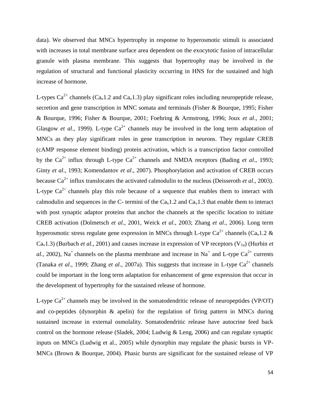data). We observed that MNCs hypertrophy in response to hyperosmotic stimuli is associated with increases in total membrane surface area dependent on the exocytotic fusion of intracellular granule with plasma membrane. This suggests that hypertrophy may be involved in the regulation of structural and functional plasticity occurring in HNS for the sustained and high increase of hormone.

L-types  $Ca^{2+}$  channels ( $Ca_v1.2$  and  $Ca_v1.3$ ) play significant roles including neuropeptide release, secretion and gene transcription in MNC somata and terminals (Fisher & Bourque, 1995; Fisher & Bourque, 1996; Fisher & Bourque, 2001; Foehring & Armstrong, 1996; Joux *et al*., 2001; Glasgow *et al.*, 1999). L-type  $Ca^{2+}$  channels may be involved in the long term adaptation of MNCs as they play significant roles in gene transcription in neurons. They regulate CREB (cAMP response element binding) protein activation, which is a transcription factor controlled by the  $Ca^{2+}$  influx through L-type  $Ca^{2+}$  channels and NMDA receptors (Bading *et al.*, 1993; Ginty *et al*., 1993; Komendantov *et al*., 2007). Phosphorylation and activation of CREB occurs because Ca2+ influx translocates the activated calmodulin to the nucleus (Deisseroth *et al*., 2003). L-type  $Ca^{2+}$  channels play this role because of a sequence that enables them to interact with calmodulin and sequences in the C- termini of the  $Ca<sub>v</sub>1.2$  and  $Ca<sub>v</sub>1.3$  that enable them to interact with post synaptic adaptor proteins that anchor the channels at the specific location to initiate CREB activation (Dolmetsch *et al*., 2001, Weick *et al*., 2003; Zhang *et al*., 2006). Long term hyperosmotic stress regulate gene expression in MNCs through L-type  $Ca^{2+}$  channels ( $Ca_v1.2 \&$  $Ca<sub>v</sub>1.3$ ) (Burbach *et al.*, 2001) and causes increase in expression of VP receptors (V<sub>1a</sub>) (Hurbin *et al.*, 2002), Na<sup>+</sup> channels on the plasma membrane and increase in Na<sup>+</sup> and L-type Ca<sup>2+</sup> currents (Tanaka *et al.*, 1999; Zhang *et al.*, 2007a). This suggests that increase in L-type  $Ca^{2+}$  channels could be important in the long term adaptation for enhancement of gene expression that occur in the development of hypertrophy for the sustained release of hormone.

L-type  $Ca^{2+}$  channels may be involved in the somatodendritic release of neuropeptides (VP/OT) and co-peptides (dynorphin & apelin) for the regulation of firing pattern in MNCs during sustained increase in external osmolality. Somatodendritic release have autocrine feed back control on the hormone release (Sladek, 2004; Ludwig & Leng, 2006) and can regulate synaptic inputs on MNCs (Ludwig et al., 2005) while dynorphin may regulate the phasic bursts in VP-MNCs (Brown & Bourque, 2004). Phasic bursts are significant for the sustained release of VP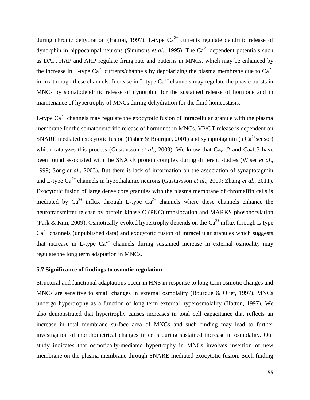during chronic dehydration (Hatton, 1997). L-type  $Ca^{2+}$  currents regulate dendritic release of dynorphin in hippocampal neurons (Simmons *et al.*, 1995). The  $Ca^{2+}$  dependent potentials such as DAP, HAP and AHP regulate firing rate and patterns in MNCs, which may be enhanced by the increase in L-type  $Ca^{2+}$  currents/channels by depolarizing the plasma membrane due to  $Ca^{2+}$ influx through these channels. Increase in L-type  $Ca^{2+}$  channels may regulate the phasic bursts in MNCs by somatodendritic release of dynorphin for the sustained release of hormone and in maintenance of hypertrophy of MNCs during dehydration for the fluid homeostasis.

L-type  $Ca^{2+}$  channels may regulate the exocytotic fusion of intracellular granule with the plasma membrane for the somatodendritic release of hormones in MNCs. VP/OT release is dependent on SNARE mediated exocytotic fusion (Fisher & Bourque, 2001) and synaptotagmin (a  $Ca^{2+}$ sensor) which catalyzes this process (Gustavsson *et al.*, 2009). We know that  $Ca<sub>v</sub>1.2$  and  $Ca<sub>v</sub>1.3$  have been found associated with the SNARE protein complex during different studies (Wiser *et al*., 1999; Song *et al*., 2003). But there is lack of information on the association of synaptotagmin and L-type Ca<sup>2+</sup> channels in hypothalamic neurons (Gustavsson *et al.*, 2009; Zhang *et al.*, 2011). Exocytotic fusion of large dense core granules with the plasma membrane of chromaffin cells is mediated by  $Ca^{2+}$  influx through L-type  $Ca^{2+}$  channels where these channels enhance the neurotransmitter release by protein kinase C (PKC) translocation and MARKS phosphorylation (Park & Kim, 2009). Osmotically-evoked hypertrophy depends on the  $Ca^{2+}$  influx through L-type  $Ca<sup>2+</sup>$  channels (unpublished data) and exocytotic fusion of intracellular granules which suggests that increase in L-type  $Ca^{2+}$  channels during sustained increase in external osmoality may regulate the long term adaptation in MNCs.

### **5.7 Significance of findings to osmotic regulation**

Structural and functional adaptations occur in HNS in response to long term osmotic changes and MNCs are sensitive to small changes in external osmolality (Bourque & Oliet, 1997). MNCs undergo hypertrophy as a function of long term external hyperosmolality (Hatton, 1997). We also demonstrated that hypertrophy causes increases in total cell capacitance that reflects an increase in total membrane surface area of MNCs and such finding may lead to further investigation of morphometrical changes in cells during sustained increase in osmolality. Our study indicates that osmotically-mediated hypertrophy in MNCs involves insertion of new membrane on the plasma membrane through SNARE mediated exocytotic fusion. Such finding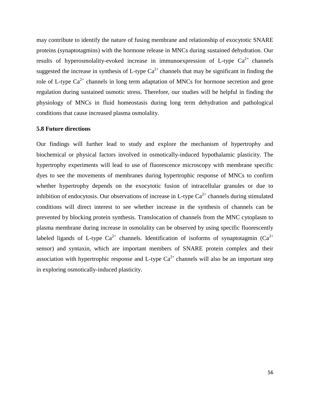may contribute to identify the nature of fusing membrane and relationship of exocytotic SNARE proteins (synaptotagmins) with the hormone release in MNCs during sustained dehydration. Our results of hyperosmolality-evoked increase in immunoexpression of L-type  $Ca^{2+}$  channels suggested the increase in synthesis of L-type  $Ca^{2+}$  channels that may be significant in finding the role of L-type  $Ca^{2+}$  channels in long term adaptation of MNCs for hormone secretion and gene regulation during sustained osmotic stress. Therefore, our studies will be helpful in finding the physiology of MNCs in fluid homeostasis during long term dehydration and pathological conditions that cause increased plasma osmolality.

### **5.8 Future directions**

Our findings will further lead to study and explore the mechanism of hypertrophy and biochemical or physical factors involved in osmotically-induced hypothalamic plasticity. The hypertrophy experiments will lead to use of fluorescence microscopy with membrane specific dyes to see the movements of membranes during hypertrophic response of MNCs to confirm whether hypertrophy depends on the exocytotic fusion of intracellular granules or due to inhibition of endocytosis. Our observations of increase in L-type  $Ca^{2+}$  channels during stimulated conditions will direct interest to see whether increase in the synthesis of channels can be prevented by blocking protein synthesis. Translocation of channels from the MNC cytoplasm to plasma membrane during increase in osmolality can be observed by using specific fluorescently labeled ligands of L-type  $Ca^{2+}$  channels. Identification of isoforms of synaptotagmin ( $Ca^{2+}$ ) sensor) and syntaxin, which are important members of SNARE protein complex and their association with hypertrophic response and L-type  $Ca^{2+}$  channels will also be an important step in exploring osmotically-induced plasticity.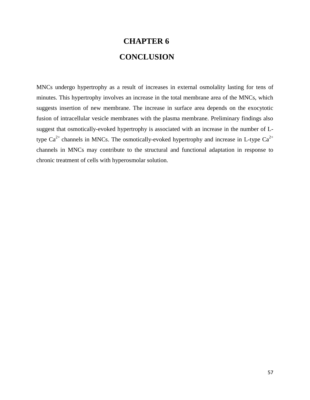# **CHAPTER 6 CONCLUSION**

MNCs undergo hypertrophy as a result of increases in external osmolality lasting for tens of minutes. This hypertrophy involves an increase in the total membrane area of the MNCs, which suggests insertion of new membrane. The increase in surface area depends on the exocytotic fusion of intracellular vesicle membranes with the plasma membrane. Preliminary findings also suggest that osmotically-evoked hypertrophy is associated with an increase in the number of Ltype  $Ca^{2+}$  channels in MNCs. The osmotically-evoked hypertrophy and increase in L-type  $Ca^{2+}$ channels in MNCs may contribute to the structural and functional adaptation in response to chronic treatment of cells with hyperosmolar solution.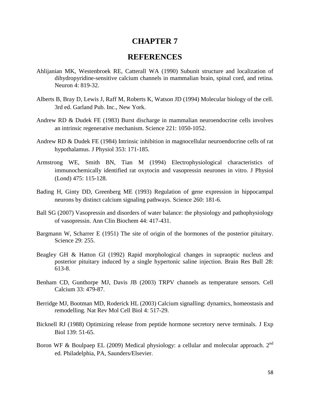### **CHAPTER 7**

### **REFERENCES**

- Ahlijanian MK, Westenbroek RE, Catterall WA (1990) Subunit structure and localization of dihydropyridine-sensitive calcium channels in mammalian brain, spinal cord, and retina. Neuron 4: 819-32.
- Alberts B, Bray D, Lewis J, Raff M, Roberts K, Watson JD (1994) Molecular biology of the cell. 3rd ed. Garland Pub. Inc., New York.
- Andrew RD & Dudek FE (1983) Burst discharge in mammalian neuroendocrine cells involves an intrinsic regenerative mechanism. Science 221: 1050-1052.
- Andrew RD & Dudek FE (1984) Intrinsic inhibition in magnocellular neuroendocrine cells of rat hypothalamus. J Physiol 353: 171-185.
- Armstrong WE, Smith BN, Tian M (1994) Electrophysiological characteristics of immunochemically identified rat oxytocin and vasopressin neurones in vitro. J Physiol (Lond) 475: 115-128.
- Bading H, Ginty DD, Greenberg ME (1993) Regulation of gene expression in hippocampal neurons by distinct calcium signaling pathways. Science 260: 181-6.
- Ball SG (2007) Vasopressin and disorders of water balance: the physiology and pathophysiology of vasopressin. Ann Clin Biochem 44: 417-431.
- Bargmann W, Scharrer E (1951) The site of origin of the hormones of the posterior pituitary. Science 29: 255.
- Beagley GH & Hatton GI (1992) Rapid morphological changes in supraoptic nucleus and posterior pituitary induced by a single hypertonic saline injection. Brain Res Bull 28: 613-8.
- Benham CD, Gunthorpe MJ, Davis JB (2003) TRPV channels as temperature sensors. Cell Calcium 33: 479-87.
- Berridge MJ, Bootman MD, Roderick HL (2003) Calcium signalling: dynamics, homeostasis and remodelling. Nat Rev Mol Cell Biol 4: 517-29.
- Bicknell RJ (1988) Optimizing release from peptide hormone secretory nerve terminals. J Exp Biol 139: 51-65.
- Boron WF & Boulpaep EL (2009) Medical physiology: a cellular and molecular approach.  $2^{nd}$ ed. Philadelphia, PA, Saunders/Elsevier.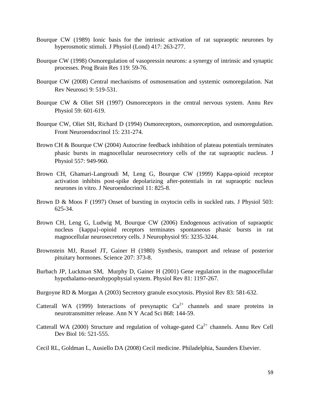- Bourque CW (1989) Ionic basis for the intrinsic activation of rat supraoptic neurones by hyperosmotic stimuli. J Physiol (Lond) 417: 263-277.
- Bourque CW (1998) Osmoregulation of vasopressin neurons: a synergy of intrinsic and synaptic processes. Prog Brain Res 119: 59-76.
- Bourque CW (2008) Central mechanisms of osmosensation and systemic osmoregulation. Nat Rev Neurosci 9: 519-531.
- Bourque CW & Oliet SH (1997) Osmoreceptors in the central nervous system. Annu Rev Physiol 59: 601-619.
- Bourque CW, Oliet SH, Richard D (1994) Osmoreceptors, osmoreception, and osmoregulation. Front Neuroendocrinol 15: 231-274.
- Brown CH & Bourque CW (2004) Autocrine feedback inhibition of plateau potentials terminates phasic bursts in magnocellular neurosecretory cells of the rat supraoptic nucleus. J Physiol 557: 949-960.
- Brown CH, Ghamari-Langroudi M, Leng G, Bourque CW (1999) Kappa-opioid receptor activation inhibits post-spike depolarizing after-potentials in rat supraoptic nucleus neurones in vitro. J Neuroendocrinol 11: 825-8.
- Brown D & Moos F (1997) Onset of bursting in oxytocin cells in suckled rats. J Physiol 503: 625-34.
- Brown CH, Leng G, Ludwig M, Bourque CW (2006) Endogenous activation of supraoptic nucleus {kappa}-opioid receptors terminates spontaneous phasic bursts in rat magnocellular neurosecretory cells. J Neurophysiol 95: 3235-3244.
- Brownstein MJ, Russel JT, Gainer H (1980) Synthesis, transport and release of posterior pituitary hormones. Science 207: 373-8.
- Burbach JP, Luckman SM, Murphy D, Gainer H (2001) Gene regulation in the magnocellular hypothalamo-neurohypophysial system. Physiol Rev 81: 1197-267.
- Burgoyne RD & Morgan A (2003) Secretory granule exocytosis. Physiol Rev 83: 581-632.
- Catterall WA (1999) Interactions of presynaptic  $Ca^{2+}$  channels and snare proteins in neurotransmitter release. Ann N Y Acad Sci 868: 144-59.
- Catterall WA (2000) Structure and regulation of voltage-gated  $Ca^{2+}$  channels. Annu Rev Cell Dev Biol 16: 521-555.
- Cecil RL, Goldman L, Ausiello DA (2008) Cecil medicine. Philadelphia, Saunders Elsevier.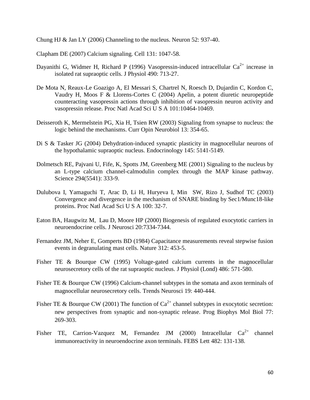Chung HJ & Jan LY (2006) Channeling to the nucleus. Neuron 52: 937-40.

Clapham DE (2007) Calcium signaling. Cell 131: 1047-58.

- Dayanithi G, Widmer H, Richard P (1996) Vasopressin-induced intracellular  $Ca^{2+}$  increase in isolated rat supraoptic cells. J Physiol 490: 713-27.
- De Mota N, Reaux-Le Goazigo A, El Messari S, Chartrel N, Roesch D, Dujardin C, Kordon C, Vaudry H, Moos F & Llorens-Cortes C (2004) Apelin, a potent diuretic neuropeptide counteracting vasopressin actions through inhibition of vasopressin neuron activity and vasopressin release. Proc Natl Acad Sci U S A 101:10464-10469.
- Deisseroth K, Mermelstein PG, Xia H, Tsien RW (2003) Signaling from synapse to nucleus: the logic behind the mechanisms. Curr Opin Neurobiol 13: 354-65.
- Di S & Tasker JG (2004) Dehydration-induced synaptic plasticity in magnocellular neurons of the hypothalamic supraoptic nucleus. Endocrinology 145: 5141-5149.
- Dolmetsch RE, Pajvani U, Fife, K, Spotts JM, Greenberg ME (2001) Signaling to the nucleus by an L-type calcium channel-calmodulin complex through the MAP kinase pathway. Science 294(5541): 333-9.
- Dulubova I, Yamaguchi T, Arac D, Li H, Huryeva I, Min SW, Rizo J, Sudhof TC (2003) Convergence and divergence in the mechanism of SNARE binding by Sec1/Munc18-like proteins. Proc Natl Acad Sci U S A 100: 32-7.
- Eaton BA, Haugwitz M, Lau D, Moore HP (2000) Biogenesis of regulated exocytotic carriers in neuroendocrine cells. J Neurosci 20:7334-7344.
- Fernandez JM, Neher E, Gomperts BD (1984) Capacitance measurements reveal stepwise fusion events in degranulating mast cells. Nature 312: 453-5.
- Fisher TE & Bourque CW (1995) Voltage-gated calcium currents in the magnocellular neurosecretory cells of the rat supraoptic nucleus. J Physiol (Lond) 486: 571-580.
- Fisher TE & Bourque CW (1996) Calcium-channel subtypes in the somata and axon terminals of magnocellular neurosecretory cells. Trends Neurosci 19: 440-444.
- Fisher TE & Bourque CW (2001) The function of  $Ca^{2+}$  channel subtypes in exocytotic secretion: new perspectives from synaptic and non-synaptic release. Prog Biophys Mol Biol 77: 269-303.
- Fisher TE, Carrion-Vazquez M, Fernandez JM (2000) Intracellular  $Ca^{2+}$  channel immunoreactivity in neuroendocrine axon terminals. FEBS Lett 482: 131-138.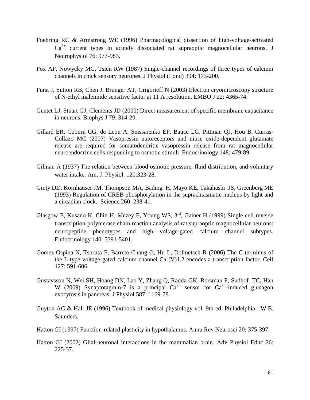- Foehring RC & Armstrong WE (1996) Pharmacological dissection of high-voltage-activated  $Ca^{2+}$  current types in acutely dissociated rat supraoptic magnocellular neurons. J Neurophysiol 76: 977-983.
- Fox AP, Nowycky MC, Tsien RW (1987) Single-channel recordings of three types of calcium channels in chick sensory neurones. J Physiol (Lond) 394: 173-200.
- Furst J, Sutton RB, Chen J, Brunger AT, Grigorieff N (2003) Electron cryomicroscopy structure of N-ethyl maleimide sensitive factor at 11 A resolution. EMBO J 22: 4365-74.
- Gentet LJ, Stuart GJ, Clements JD (2000) Direct measurement of specific membrane capacitance in neurons. Biophys J 79: 314-20.
- Gillard ER, Coburn CG, de Leon A, Snissarenko EP, Bauce LG, Pittman QJ, Hou B, Curras-Collazo MC (2007) Vasopressin autoreceptors and nitric oxide-dependent glutamate release are required for somatodendritic vasopressin release from rat magnocellular neuroendocrine cells responding to osmotic stimuli. Endocrinology 148: 479-89.
- Gilman A (1937) The relation between blood osmotic pressure, fluid distribution, and voluntary water intake. Am. J. Physiol. 120:323-28.
- Ginty DD, Kornhauser JM, Thompson MA, Bading H, Mayo KE, Takahashi JS, Greenberg ME (1993) Regulation of CREB phosphorylation in the suprachiasmatic nucleus by light and a circadian clock. Science 260: 238-41.
- Glasgow E, Kusano K, Chin H, Mezey E, Young WS, 3rd, Gainer H (1999) Single cell reverse transcription-polymerase chain reaction analysis of rat supraoptic magnocellular neurons: neuropeptide phenotypes and high voltage-gated calcium channel subtypes. Endocrinology 140: 5391-5401.
- Gomez-Ospina N, Tsuruta F, Barreto-Chang O, Hu L, Dolmetsch R (2006) The C terminus of the L-type voltage-gated calcium channel Ca (V)1.2 encodes a transcription factor. Cell 127: 591-606.
- Gustavsson N, Wei SH, Hoang DN, Lao Y, Zhang Q, Radda GK, Rorsman P, Sudhof TC, Han W (2009) Synaptotagmin-7 is a principal  $Ca^{2+}$  sensor for  $Ca^{2+}$ -induced glucagon exocytosis in pancreas. J Physiol 587: 1169-78.
- Guyton AC & Hall JE (1996) Textbook of medical physiology vol. 9th ed. Philadelphia : W.B. Saunders.
- Hatton GI (1997) Function-related plasticity in hypothalamus. Annu Rev Neurosci 20: 375-397.
- Hatton GI (2002) Glial-neuronal interactions in the mammalian brain. Adv Physiol Educ 26: 225-37.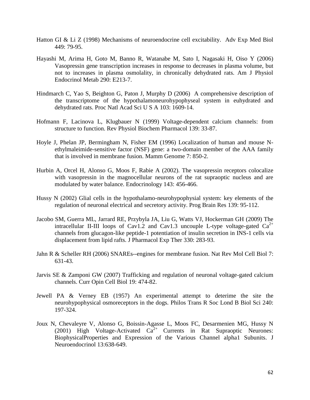- Hatton GI & Li Z (1998) Mechanisms of neuroendocrine cell excitability. Adv Exp Med Biol 449: 79-95.
- Hayashi M, Arima H, Goto M, Banno R, Watanabe M, Sato I, Nagasaki H, Oiso Y (2006) Vasopressin gene transcription increases in response to decreases in plasma volume, but not to increases in plasma osmolality, in chronically dehydrated rats. Am J Physiol Endocrinol Metab 290: E213-7.
- Hindmarch C, Yao S, Beighton G, Paton J, Murphy D (2006) A comprehensive description of the transcriptome of the hypothalamoneurohypophyseal system in euhydrated and dehydrated rats. Proc Natl Acad Sci U S A 103: 1609-14.
- Hofmann F, Lacinova L, Klugbauer N (1999) Voltage-dependent calcium channels: from structure to function. Rev Physiol Biochem Pharmacol 139: 33-87.
- Hoyle J, Phelan JP, Bermingham N, Fisher EM (1996) Localization of human and mouse Nethylmaleimide-sensitive factor (NSF) gene: a two-domain member of the AAA family that is involved in membrane fusion. Mamm Genome 7: 850-2.
- Hurbin A, Orcel H, Alonso G, Moos F, Rabie A (2002). The vasopressin receptors colocalize with vasopressin in the magnocellular neurons of the rat supraoptic nucleus and are modulated by water balance. Endocrinology 143: 456-466.
- Hussy N (2002) Glial cells in the hypothalamo-neurohypophysial system: key elements of the regulation of neuronal electrical and secretory activity. Prog Brain Res 139: 95-112.
- Jacobo SM, Guerra ML, Jarrard RE, Przybyla JA, Liu G, Watts VJ, Hockerman GH (2009) The intracellular II-III loops of Cav1.2 and Cav1.3 uncouple L-type voltage-gated  $Ca^{2+}$ channels from glucagon-like peptide-1 potentiation of insulin secretion in INS-1 cells via displacement from lipid rafts. J Pharmacol Exp Ther 330: 283-93.
- Jahn R & Scheller RH (2006) SNAREs--engines for membrane fusion. Nat Rev Mol Cell Biol 7: 631-43.
- Jarvis SE & Zamponi GW (2007) Trafficking and regulation of neuronal voltage-gated calcium channels. Curr Opin Cell Biol 19: 474-82.
- Jewell PA & Verney EB (1957) An experimental attempt to deterime the site the neurohypophysical osmoreceptors in the dogs. Philos Trans R Soc Lond B Biol Sci 240: 197-324.
- Joux N, Chevaleyre V, Alonso G, Boissin-Agasse L, Moos FC, Desarmenien MG, Hussy N (2001) High Voltage-Activated  $Ca^{2+}$  Currents in Rat Supraoptic Neurones: BiophysicalProperties and Expression of the Various Channel alpha1 Subunits. J Neuroendocrinol 13:638-649.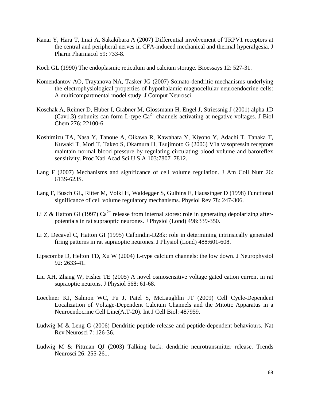- Kanai Y, Hara T, Imai A, Sakakibara A (2007) Differential involvement of TRPV1 receptors at the central and peripheral nerves in CFA-induced mechanical and thermal hyperalgesia. J Pharm Pharmacol 59: 733-8.
- Koch GL (1990) The endoplasmic reticulum and calcium storage. Bioessays 12: 527-31.
- Komendantov AO, Trayanova NA, Tasker JG (2007) Somato-dendritic mechanisms underlying the electrophysiological properties of hypothalamic magnocellular neuroendocrine cells: A multicompartmental model study. J Comput Neurosci.
- Koschak A, Reimer D, Huber I, Grabner M, Glossmann H, Engel J, Striessnig J (2001) alpha 1D (Cav1.3) subunits can form L-type  $Ca^{2+}$  channels activating at negative voltages. J Biol Chem 276: 22100-6.
- Koshimizu TA, Nasa Y, Tanoue A, Oikawa R, Kawahara Y, Kiyono Y, Adachi T, Tanaka T, Kuwaki T, Mori T, Takeo S, Okamura H, Tsujimoto G (2006) V1a vasopressin receptors maintain normal blood pressure by regulating circulating blood volume and baroreflex sensitivity. Proc Natl Acad Sci U S A 103:7807–7812.
- Lang F (2007) Mechanisms and significance of cell volume regulation. J Am Coll Nutr 26: 613S-623S.
- Lang F, Busch GL, Ritter M, Volkl H, Waldegger S, Gulbins E, Haussinger D (1998) Functional significance of cell volume regulatory mechanisms. Physiol Rev 78: 247-306.
- Li Z & Hatton GI (1997)  $Ca^{2+}$  release from internal stores: role in generating depolarizing afterpotentials in rat supraoptic neurones. J Physiol (Lond) 498:339-350.
- Li Z, Decavel C, Hatton GI (1995) Calbindin-D28k: role in determining intrinsically generated firing patterns in rat supraoptic neurones. J Physiol (Lond) 488:601-608.
- Lipscombe D, Helton TD, Xu W (2004) L-type calcium channels: the low down. J Neurophysiol 92: 2633-41.
- Liu XH, Zhang W, Fisher TE (2005) A novel osmosensitive voltage gated cation current in rat supraoptic neurons. J Physiol 568: 61-68.
- Loechner KJ, Salmon WC, Fu J, Patel S, McLaughlin JT (2009) Cell Cycle-Dependent Localization of Voltage-Dependent Calcium Channels and the Mitotic Apparatus in a Neuroendocrine Cell Line(AtT-20). Int J Cell Biol: 487959.
- Ludwig M & Leng G (2006) Dendritic peptide release and peptide-dependent behaviours. Nat Rev Neurosci 7: 126-36.
- Ludwig M & Pittman QJ (2003) Talking back: dendritic neurotransmitter release. Trends Neurosci 26: 255-261.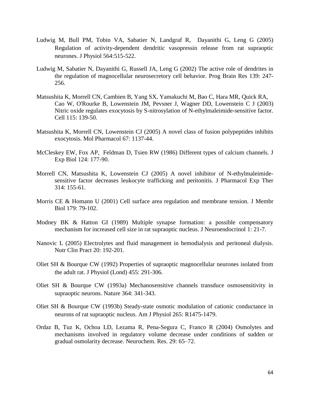- Ludwig M, Bull PM, Tobin VA, Sabatier N, Landgraf R, Dayanithi G, Leng G (2005) Regulation of activity-dependent dendritic vasopressin release from rat supraoptic neurones. J Physiol 564:515-522.
- Ludwig M, Sabatier N, Dayanithi G, Russell JA, Leng G (2002) The active role of dendrites in the regulation of magnocellular neurosecretory cell behavior. Prog Brain Res 139: 247- 256.
- Matsushita K, Morrell CN, Cambien B, Yang SX, Yamakuchi M, Bao C, Hara MR, Quick RA, Cao W, O'Rourke B, Lowenstein JM, Pevsner J, Wagner DD, Lowenstein C J (2003) Nitric oxide regulates exocytosis by S-nitrosylation of N-ethylmaleimide-sensitive factor. Cell 115: 139-50.
- Matsushita K, Morrell CN, Lowenstein CJ (2005) A novel class of fusion polypeptides inhibits exocytosis. Mol Pharmacol 67: 1137-44.
- McCleskey EW, Fox AP, Feldman D, Tsien RW (1986) Different types of calcium channels. J Exp Biol 124: 177-90.
- Morrell CN, Matsushita K, Lowenstein CJ (2005) A novel inhibitor of N-ethylmaleimidesensitive factor decreases leukocyte trafficking and peritonitis. J Pharmacol Exp Ther 314: 155-61.
- Morris CE & Homann U (2001) Cell surface area regulation and membrane tension. J Membr Biol 179: 79-102.
- Modney BK & Hatton GI (1989) Multiple synapse formation: a possible compensatory mechanism for increased cell size in rat supraoptic nucleus. J Neuroendocrinol 1: 21-7.
- Nanovic L (2005) Electrolytes and fluid management in hemodialysis and peritoneal dialysis. Nutr Clin Pract 20: 192-201.
- Oliet SH & Bourque CW (1992) Properties of supraoptic magnocellular neurones isolated from the adult rat. J Physiol (Lond) 455: 291-306.
- Oliet SH & Bourque CW (1993a) Mechanosensitive channels transduce osmosensitivity in supraoptic neurons. Nature 364: 341-343.
- Oliet SH & Bourque CW (1993b) Steady-state osmotic modulation of cationic conductance in neurons of rat supraoptic nucleus. Am J Physiol 265: R1475-1479.
- Ordaz B, Tuz K, Ochoa LD, Lezama R, Pena-Segura C, Franco R (2004) Osmolytes and mechanisms involved in regulatory volume decrease under conditions of sudden or gradual osmolarity decrease. Neurochem. Res. 29: 65–72.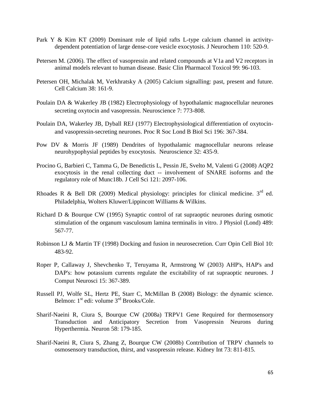- Park Y & Kim KT (2009) Dominant role of lipid rafts L-type calcium channel in activitydependent potentiation of large dense-core vesicle exocytosis. J Neurochem 110: 520-9.
- Petersen M. (2006). The effect of vasopressin and related compounds at V1a and V2 receptors in animal models relevant to human disease. Basic Clin Pharmacol Toxicol 99: 96-103.
- Petersen OH, Michalak M, Verkhratsky A (2005) Calcium signalling: past, present and future. Cell Calcium 38: 161-9.
- Poulain DA & Wakerley JB (1982) Electrophysiology of hypothalamic magnocellular neurones secreting oxytocin and vasopressin. Neuroscience 7: 773-808.
- Poulain DA, Wakerley JB, Dyball REJ (1977) Electrophysiological differentiation of oxytocinand vasopressin-secreting neurones. Proc R Soc Lond B Biol Sci 196: 367-384.
- Pow DV & Morris JF (1989) Dendrites of hypothalamic magnocellular neurons release neurohypophysial peptides by exocytosis. Neuroscience 32: 435-9.
- Procino G, Barbieri C, Tamma G, De Benedictis L, Pessin JE, Svelto M, Valenti G (2008) AQP2 exocytosis in the renal collecting duct -- involvement of SNARE isoforms and the regulatory role of Munc18b. J Cell Sci 121: 2097-106.
- Rhoades R & Bell DR (2009) Medical physiology: principles for clinical medicine.  $3<sup>rd</sup>$  ed. Philadelphia, Wolters Kluwer/Lippincott Williams & Wilkins.
- Richard D & Bourque CW (1995) Synaptic control of rat supraoptic neurones during osmotic stimulation of the organum vasculosum lamina terminalis in vitro. J Physiol (Lond) 489: 567-77.
- Robinson LJ & Martin TF (1998) Docking and fusion in neurosecretion. Curr Opin Cell Biol 10: 483-92.
- Roper P, Callaway J, Shevchenko T, Teruyama R, Armstrong W (2003) AHP's, HAP's and DAP's: how potassium currents regulate the excitability of rat supraoptic neurones. J Comput Neurosci 15: 367-389.
- Russell PJ, Wolfe SL, Hertz PE, Starr C, McMillan B (2008) Biology: the dynamic science. Belmon: 1<sup>st</sup> edi: volume 3<sup>rd</sup> Brooks/Cole.
- Sharif-Naeini R, Ciura S, Bourque CW (2008a) TRPV1 Gene Required for thermosensory Transduction and Anticipatory Secretion from Vasopressin Neurons during Hyperthermia. Neuron 58: 179-185.
- Sharif-Naeini R, Ciura S, Zhang Z, Bourque CW (2008b) Contribution of TRPV channels to osmosensory transduction, thirst, and vasopressin release. Kidney Int 73: 811-815.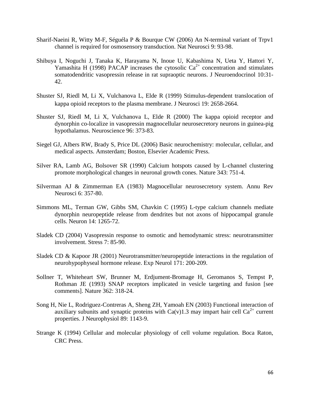- Sharif-Naeini R, Witty M-F, Séguéla P & Bourque CW (2006) An N-terminal variant of Trpv1 channel is required for osmosensory transduction. Nat Neurosci 9: 93-98.
- Shibuya I, Noguchi J, Tanaka K, Harayama N, Inoue U, Kabashima N, Ueta Y, Hattori Y, Yamashita H (1998) PACAP increases the cytosolic  $Ca^{2+}$  concentration and stimulates somatodendritic vasopressin release in rat supraoptic neurons. J Neuroendocrinol 10:31- 42.
- Shuster SJ, Riedl M, Li X, Vulchanova L, Elde R (1999) Stimulus-dependent translocation of kappa opioid receptors to the plasma membrane. J Neurosci 19: 2658-2664.
- Shuster SJ, Riedl M, Li X, Vulchanova L, Elde R (2000) The kappa opioid receptor and dynorphin co-localize in vasopressin magnocellular neurosecretory neurons in guinea-pig hypothalamus. Neuroscience 96: 373-83.
- Siegel GJ, Albers RW, Brady S, Price DL (2006) Basic neurochemistry: molecular, cellular, and medical aspects. Amsterdam; Boston, Elsevier Academic Press.
- Silver RA, Lamb AG, Bolsover SR (1990) Calcium hotspots caused by L-channel clustering promote morphological changes in neuronal growth cones. Nature 343: 751-4.
- Silverman AJ & Zimmerman EA (1983) Magnocellular neurosecretory system. Annu Rev Neurosci 6: 357-80.
- Simmons ML, Terman GW, Gibbs SM, Chavkin C (1995) L-type calcium channels mediate dynorphin neuropeptide release from dendrites but not axons of hippocampal granule cells. Neuron 14: 1265-72.
- Sladek CD (2004) Vasopressin response to osmotic and hemodynamic stress: neurotransmitter involvement. Stress 7: 85-90.
- Sladek CD & Kapoor JR (2001) Neurotransmitter/neuropeptide interactions in the regulation of neurohypophyseal hormone release. Exp Neurol 171: 200-209.
- Sollner T, Whiteheart SW, Brunner M, Erdjument-Bromage H, Geromanos S, Tempst P, Rothman JE (1993) SNAP receptors implicated in vesicle targeting and fusion [see comments]. Nature 362: 318-24.
- Song H, Nie L, Rodriguez-Contreras A, Sheng ZH, Yamoah EN (2003) Functional interaction of auxiliary subunits and synaptic proteins with Ca(y)1.3 may impart hair cell Ca<sup>2+</sup> current properties. J Neurophysiol 89: 1143-9.
- Strange K (1994) Cellular and molecular physiology of cell volume regulation. Boca Raton, CRC Press.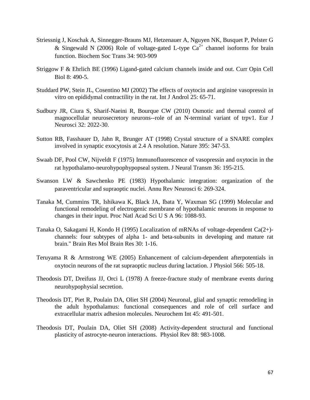- Striessnig J, Koschak A, Sinnegger-Brauns MJ, Hetzenauer A, Nguyen NK, Busquet P, Pelster G & Singewald N (2006) Role of voltage-gated L-type  $Ca^{2+}$  channel isoforms for brain function. Biochem Soc Trans 34: 903-909
- Striggow F & Ehrlich BE (1996) Ligand-gated calcium channels inside and out. Curr Opin Cell Biol 8: 490-5.
- Studdard PW, Stein JL, Cosentino MJ (2002) The effects of oxytocin and arginine vasopressin in vitro on epididymal contractility in the rat. Int J Androl 25: 65-71.
- Sudbury JR, Ciura S, Sharif-Naeini R, Bourque CW (2010) Osmotic and thermal control of magnocellular neurosecretory neurons--role of an N-terminal variant of trpv1. Eur J Neurosci 32: 2022-30.
- Sutton RB, Fasshauer D, Jahn R, Brunger AT (1998) Crystal structure of a SNARE complex involved in synaptic exocytosis at 2.4 A resolution. Nature 395: 347-53.
- Swaab DF, Pool CW, Nijveldt F (1975) Immunofluorescence of vasopressin and oxytocin in the rat hypothalamo-neurohypophypopseal system. J Neural Transm 36: 195-215.
- Swanson LW & Sawchenko PE (1983) Hypothalamic integration: organization of the paraventricular and supraoptic nuclei. Annu Rev Neurosci 6: 269-324.
- Tanaka M, Cummins TR, Ishikawa K, Black JA, Ibata Y, Waxman SG (1999) Molecular and functional remodeling of electrogenic membrane of hypothalamic neurons in response to changes in their input. Proc Natl Acad Sci U S A 96: 1088-93.
- Tanaka O, Sakagami H, Kondo H (1995) Localization of mRNAs of voltage-dependent Ca(2+) channels: four subtypes of alpha 1- and beta-subunits in developing and mature rat brain." Brain Res Mol Brain Res 30: 1-16.
- Teruyama R & Armstrong WE (2005) Enhancement of calcium-dependent afterpotentials in oxytocin neurons of the rat supraoptic nucleus during lactation. J Physiol 566: 505-18.
- Theodosis DT, Dreifuss JJ, Orci L (1978) A freeze-fracture study of membrane events during neurohypophysial secretion.
- Theodosis DT, Piet R, Poulain DA, Oliet SH (2004) Neuronal, glial and synaptic remodeling in the adult hypothalamus: functional consequences and role of cell surface and extracellular matrix adhesion molecules. Neurochem Int 45: 491-501.
- Theodosis DT, Poulain DA, Oliet SH (2008) Activity-dependent structural and functional plasticity of astrocyte-neuron interactions. Physiol Rev 88: 983-1008.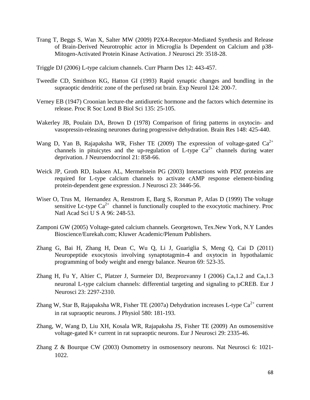- Trang T, Beggs S, Wan X, Salter MW (2009) P2X4-Receptor-Mediated Synthesis and Release of Brain-Derived Neurotrophic actor in Microglia Is Dependent on Calcium and p38- Mitogen-Activated Protein Kinase Activation. J Neurosci 29: 3518-28.
- Triggle DJ (2006) L-type calcium channels. Curr Pharm Des 12: 443-457.
- Tweedle CD, Smithson KG, Hatton GI (1993) Rapid synaptic changes and bundling in the supraoptic dendritic zone of the perfused rat brain. Exp Neurol 124: 200-7.
- Verney EB (1947) Croonian lecture-the antidiuretic hormone and the factors which determine its release. Proc R Soc Lond B Biol Sci 135: 25-105.
- Wakerley JB, Poulain DA, Brown D (1978) Comparison of firing patterns in oxytocin- and vasopressin-releasing neurones during progressive dehydration. Brain Res 148: 425-440.
- Wang D, Yan B, Rajapaksha WR, Fisher TE (2009) The expression of voltage-gated  $Ca^{2+}$ channels in pituicytes and the up-regulation of L-type  $Ca^{2+}$  channels during water deprivation. J Neuroendocrinol 21: 858-66.
- Weick JP, Groth RD, Isaksen AL, Mermelstein PG (2003) Interactions with PDZ proteins are required for L-type calcium channels to activate cAMP response element-binding protein-dependent gene expression. J Neurosci 23: 3446-56.
- Wiser O, Trus M, Hernandez A, Renstrom E, Barg S, Rorsman P, Atlas D (1999) The voltage sensitive Lc-type  $Ca^{2+}$  channel is functionally coupled to the exocytotic machinery. Proc Natl Acad Sci U S A 96: 248-53.
- Zamponi GW (2005) Voltage-gated calcium channels. Georgetown, Tex.New York, N.Y Landes Bioscience/Eurekah.com; Kluwer Academic/Plenum Publishers.
- Zhang G, Bai H, Zhang H, Dean C, Wu Q, Li J, Guariglia S, Meng Q, Cai D (2011) Neuropeptide exocytosis involving synaptotagmin-4 and oxytocin in hypothalamic programming of body weight and energy balance. Neuron 69: 523-35.
- Zhang H, Fu Y, Altier C, Platzer J, Surmeier DJ, Bezprozvanny I (2006)  $Ca<sub>v</sub>1.2$  and  $Ca<sub>v</sub>1.3$ neuronal L-type calcium channels: differential targeting and signaling to pCREB. Eur J Neurosci 23: 2297-2310.
- Zhang W, Star B, Rajapaksha WR, Fisher TE (2007a) Dehydration increases L-type  $Ca^{2+}$  current in rat supraoptic neurons. J Physiol 580: 181-193.
- Zhang, W, Wang D, Liu XH, Kosala WR, Rajapaksha JS, Fisher TE (2009) An osmosensitive voltage-gated K+ current in rat supraoptic neurons. Eur J Neurosci 29: 2335-46.
- Zhang Z & Bourque CW (2003) Osmometry in osmosensory neurons. Nat Neurosci 6: 1021- 1022.